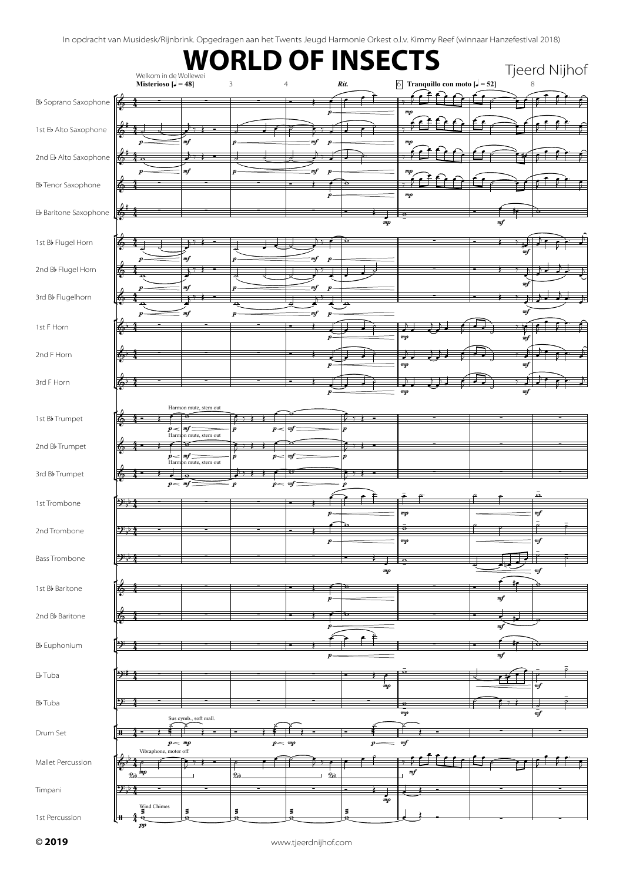|                       |                                                            |                                              |                    |                                                    | <b>WORLD OF INSECTS</b>                                         |                                       |     | Tjeerd Nijhof |  |
|-----------------------|------------------------------------------------------------|----------------------------------------------|--------------------|----------------------------------------------------|-----------------------------------------------------------------|---------------------------------------|-----|---------------|--|
|                       | Welkom in de Wollewei<br>Misterioso $\left[\right] = 48$ ] |                                              | $\mathbf{3}$       | $\overline{4}$                                     | Rit.                                                            | 6 Tranquillo con moto $\sqrt{2} = 52$ |     | 8             |  |
| Bb Soprano Saxophone  |                                                            |                                              |                    | p                                                  |                                                                 | $\binom{mp}{2}$                       |     |               |  |
| 1st Eb Alto Saxophone | ∲                                                          | mf                                           |                    | mf<br>$\boldsymbol{p}$                             |                                                                 |                                       |     |               |  |
| 2nd Eb Alto Saxophone | 6                                                          | mf                                           |                    | mf<br>$\boldsymbol{p}$                             |                                                                 |                                       |     |               |  |
| Bb Tenor Saxophone    |                                                            |                                              |                    | $\boldsymbol{p}$                                   |                                                                 | $\it mp$                              |     |               |  |
| Eb Baritone Saxophone | $\blacklozenge$                                            |                                              |                    |                                                    | $\boldsymbol{m}$                                                |                                       | mf  |               |  |
| 1st Bb Flugel Horn    | ⊕                                                          |                                              |                    |                                                    |                                                                 |                                       | m   |               |  |
| 2nd Bb Flugel Horn    | ∲                                                          | mf                                           |                    | $m\!f$<br>$\boldsymbol{p}$                         |                                                                 |                                       |     |               |  |
| 3rd Bb Flugelhorn     | ⊚                                                          | mf<br>mf                                     |                    | m f<br>$\boldsymbol{p}$<br>m f<br>$\boldsymbol{p}$ |                                                                 |                                       |     |               |  |
| 1st F Horn            |                                                            |                                              |                    | $\boldsymbol{p}$                                   |                                                                 | тp                                    |     |               |  |
| 2nd F Horn            | 6                                                          |                                              |                    | $\boldsymbol{v}$                                   |                                                                 | mр                                    | m f |               |  |
| 3rd F Horn            | 6                                                          |                                              |                    | $\boldsymbol{p}$                                   |                                                                 | $_{\it mp}$                           |     | m f           |  |
| 1st Bb Trumpet        |                                                            | Harmon mute, stem out<br>$p < \frac{m f}{m}$ | $p$ - $m$ f        |                                                    | $\rightarrow$<br>p                                              |                                       |     |               |  |
| 2nd Bb Trumpet        |                                                            | 脑<br>$p < \sqrt{m}$<br>Harmon mute, stem out | $p$ $<$ $\vert$ mf |                                                    | $\boldsymbol{p}$                                                |                                       |     |               |  |
| 3rd Bb Trumpet        | $p = mf$                                                   |                                              | $p<\mathit{mf}$    |                                                    | $\overline{\bullet}$ , $\overline{\bullet}$<br>$\boldsymbol{p}$ |                                       |     |               |  |
| 1st Trombone          | $9 +$                                                      |                                              |                    |                                                    |                                                                 | mp                                    |     | ءَ<br>mf      |  |
| 2nd Trombone          | $2+$                                                       |                                              |                    | $\boldsymbol{p}$                                   |                                                                 | $\overline{\bullet}$<br>$_{\it mp}$   |     | mf            |  |
| <b>Bass Trombone</b>  | りゃく                                                        |                                              |                    |                                                    |                                                                 |                                       |     |               |  |
| 1st Bb Baritone       | œ                                                          |                                              |                    |                                                    | $\sqrt{np}$                                                     |                                       | m f | m f           |  |
| 2nd Bb Baritone       | to,                                                        |                                              |                    | $\boldsymbol{p}$                                   |                                                                 |                                       |     |               |  |
| Bb Euphonium          |                                                            |                                              |                    | $p-$                                               |                                                                 |                                       | m f |               |  |
| Eb Tuba               | 91                                                         |                                              |                    |                                                    | $\dot{m}p$                                                      |                                       |     |               |  |
| Bb Tuba               |                                                            |                                              |                    |                                                    |                                                                 | $\it mp$                              |     | mf            |  |
| Drum Set              |                                                            | Sus cymb., soft mall.<br>$p<$ mp             | $p<$ mp            |                                                    | $p \longrightarrow$ mf                                          |                                       |     |               |  |
| Mallet Percussion     | Vibraphone, motor off<br>⊕<br>mр<br>Led.                   |                                              | Led.               | $\perp$ Led.                                       |                                                                 | m f                                   |     |               |  |
| Timpani               | $2+1$                                                      |                                              |                    |                                                    | $\bar{m}p$                                                      |                                       |     |               |  |
| 1st Percussion        | Wind Chimes<br>4<br>Į⊬⊩<br>pp                              | Е                                            | ã                  | з                                                  | з                                                               |                                       |     |               |  |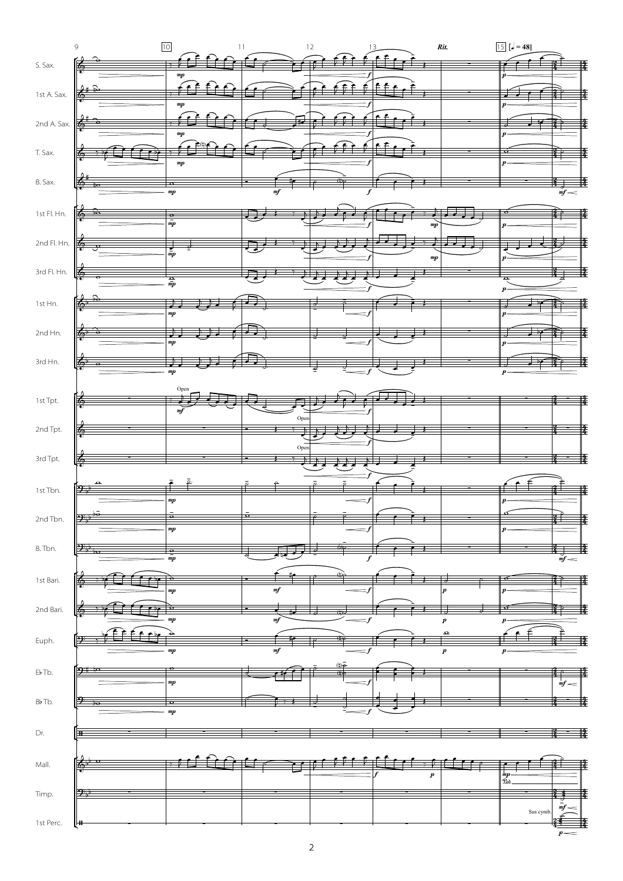|             | $\mathsf{G}$                 | 10                               | 11       | $12$                    | 13               | $Rit$ .          | $\boxed{15}$ $\boxed{J}$ = 48] |               |
|-------------|------------------------------|----------------------------------|----------|-------------------------|------------------|------------------|--------------------------------|---------------|
| S. Sax.     | 佑                            |                                  |          |                         |                  |                  |                                | 湰             |
| 1st A. Sax. |                              | $\sqrt{np}$                      |          | í f                     |                  |                  |                                | 车             |
|             |                              | $\it mp$                         |          |                         |                  |                  |                                |               |
| 2nd A. Sax. |                              | $\sqrt{np}$                      |          |                         |                  |                  |                                |               |
| T. Sax.     |                              |                                  |          |                         |                  |                  | $\hat{z}$ f                    | 4             |
|             |                              | $\sqrt{np}$                      |          |                         |                  |                  |                                |               |
| B. Sax.     | 6                            | $\boldsymbol{m}{\boldsymbol{p}}$ | m f      |                         |                  |                  | $\frac{d}{m}$                  | 莑             |
| 1st Fl. Hn. | Þе                           |                                  |          |                         |                  |                  | ó                              |               |
|             | <b>To</b>                    | $\bar{m p}$                      |          |                         | mр               | ◢                |                                | 4             |
| 2nd Fl. Hn. | ⊙                            | $\frac{2}{mp}$                   |          |                         |                  |                  |                                |               |
| 3rd Fl. Hn. |                              |                                  |          |                         | тp               |                  |                                |               |
|             | 晦                            | $\frac{\Theta}{\bar{mp}}$        |          |                         |                  |                  |                                |               |
| $1$ st Hn.  | $\frac{1}{2}$<br>6           |                                  |          |                         |                  |                  |                                |               |
|             |                              | $\boldsymbol{m}{\boldsymbol{p}}$ |          |                         |                  |                  |                                |               |
| 2nd Hn.     |                              | ♪.<br>$\binom{mp}{m}$            |          |                         |                  |                  |                                | 圭             |
| 3rd Hn.     | է                            |                                  |          |                         |                  |                  |                                | ₹             |
|             |                              | $\sqrt{m}p$                      |          |                         |                  |                  | $p-$                           |               |
| $1$ st Tpt. |                              | Open                             |          |                         |                  |                  |                                | 隆             |
|             |                              |                                  | Oper     |                         |                  |                  |                                |               |
| 2nd Tpt.    |                              |                                  | Oper     |                         |                  |                  |                                | 圭             |
| 3rd Tpt.    |                              |                                  |          | ≠                       |                  |                  |                                |               |
|             |                              | ē                                |          |                         |                  |                  |                                |               |
| 1st Tbn.    | $2\frac{1}{2}$               | $\boxed{np}$                     |          |                         |                  |                  | $\boldsymbol{p}$               | 隆             |
| 2nd Tbn.    | $\mathfrak{D}^{\mathrm{be}}$ |                                  |          |                         |                  |                  |                                | $\frac{4}{4}$ |
|             |                              | $\it mp$                         |          |                         |                  |                  |                                |               |
| B. Tbn.     |                              | $\bar{m}$                        |          |                         |                  |                  | $\frac{d}{m}$                  |               |
| 1st Bari.   |                              |                                  |          |                         |                  |                  |                                | 葏             |
|             |                              | тp                               | $\it mf$ |                         |                  |                  |                                |               |
| 2nd Bari.   |                              | $\mathfrak{m}p$                  | mf       |                         |                  | $\boldsymbol{p}$ | ಕ<br>$\boldsymbol{p}$          |               |
| Euph.       |                              |                                  |          |                         |                  | $\mathbf{a}$     |                                |               |
|             |                              | $\boldsymbol{m}$                 | $\it mf$ |                         |                  | $\pmb{p}$        | $\boldsymbol{p}$               |               |
| $Eb$ Tb.    | <del>9≢ le</del>             | $\mathbf \sigma$<br>$\sqrt{np}$  |          | $\overline{\mathbb{Q}}$ |                  |                  |                                | 葦             |
| $Bb$ Tb.    |                              |                                  |          |                         |                  |                  | $\mathcal{L}$                  |               |
|             |                              | $\it mp$                         |          |                         |                  |                  |                                |               |
| Dr.         | $\bf{H}$                     |                                  |          |                         |                  |                  |                                | 誰             |
|             |                              |                                  |          |                         |                  |                  |                                |               |
| Mall.       |                              |                                  |          |                         | $\boldsymbol{p}$ |                  | $\frac{mp}{2}$                 | 湰             |
| Timp.       | $2+$                         |                                  |          |                         |                  |                  |                                |               |
|             |                              |                                  |          |                         |                  |                  | $\frac{m}{m}$<br>Sus cymb.     |               |
| 1st Perc.   | f⊬⊪                          |                                  |          |                         |                  |                  | $p\rightleftharpoons$          |               |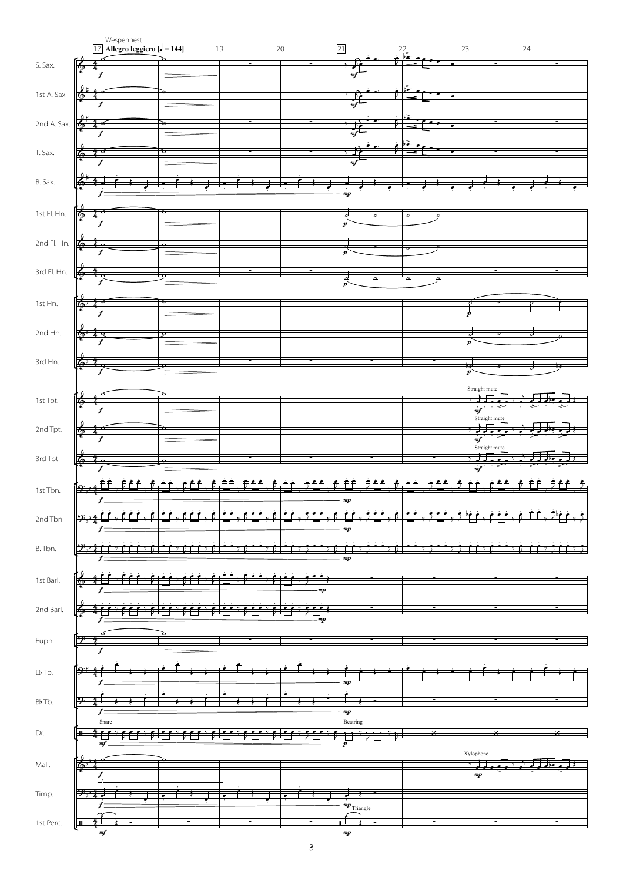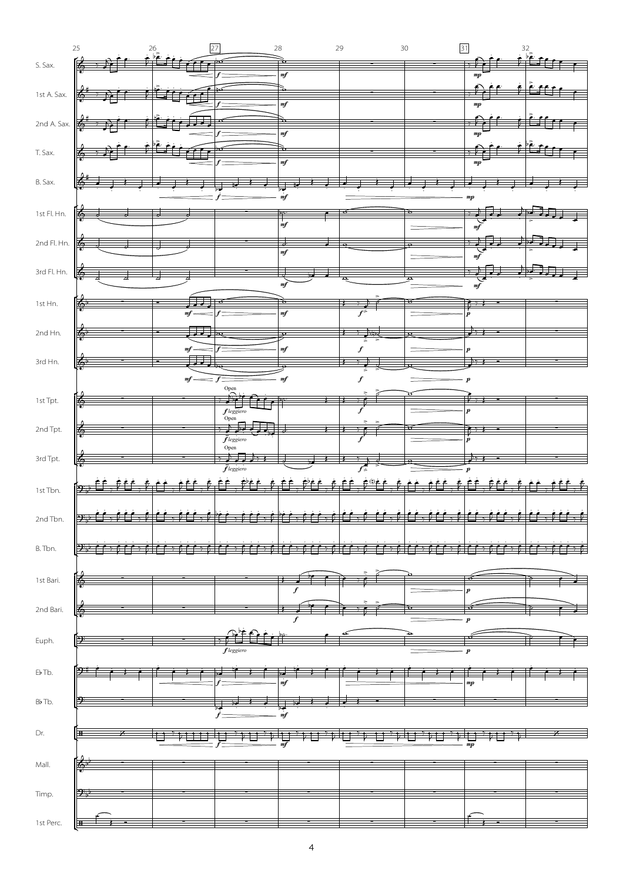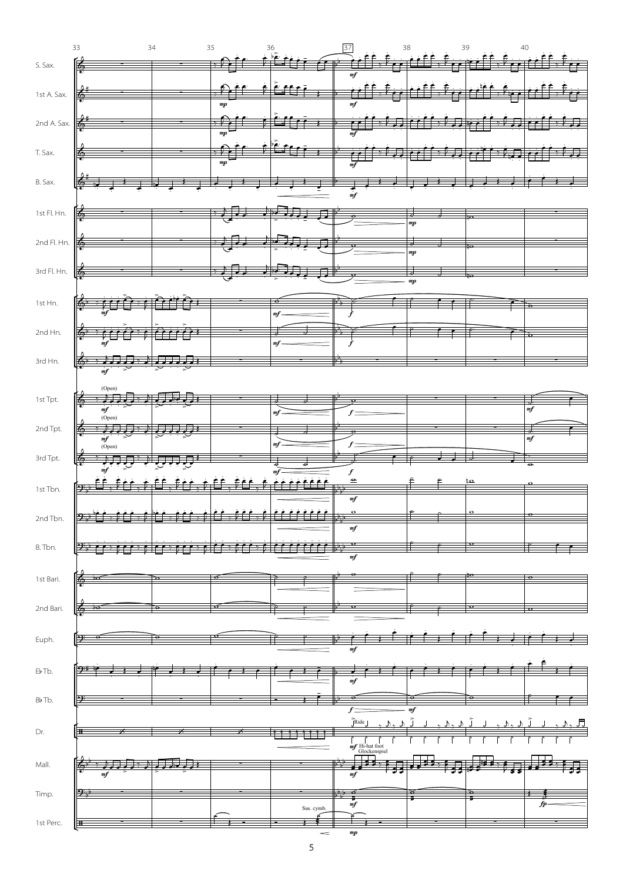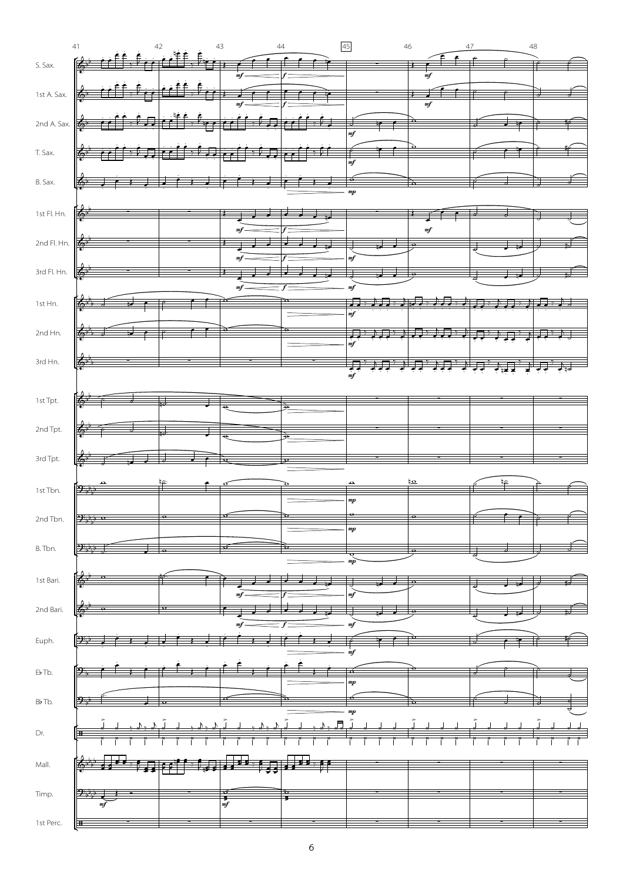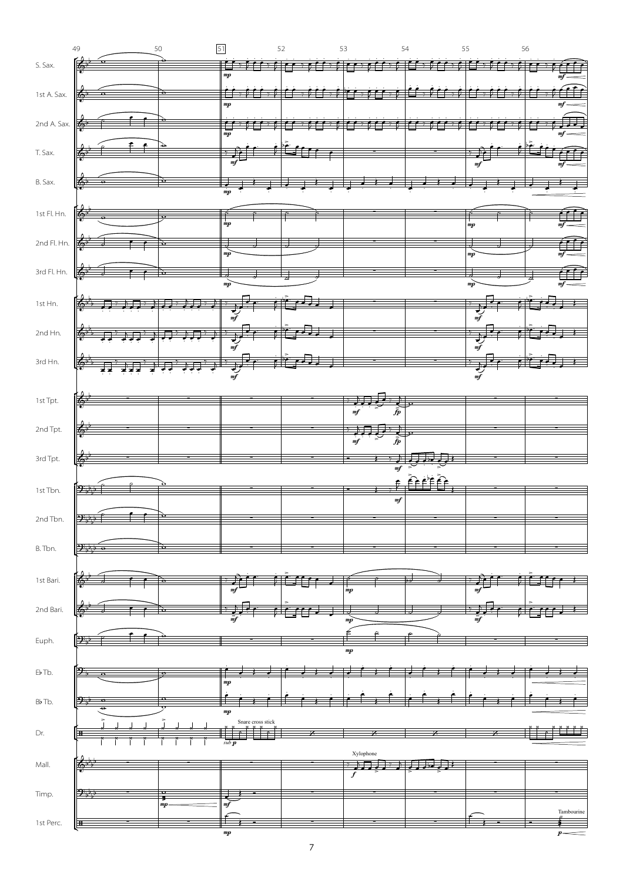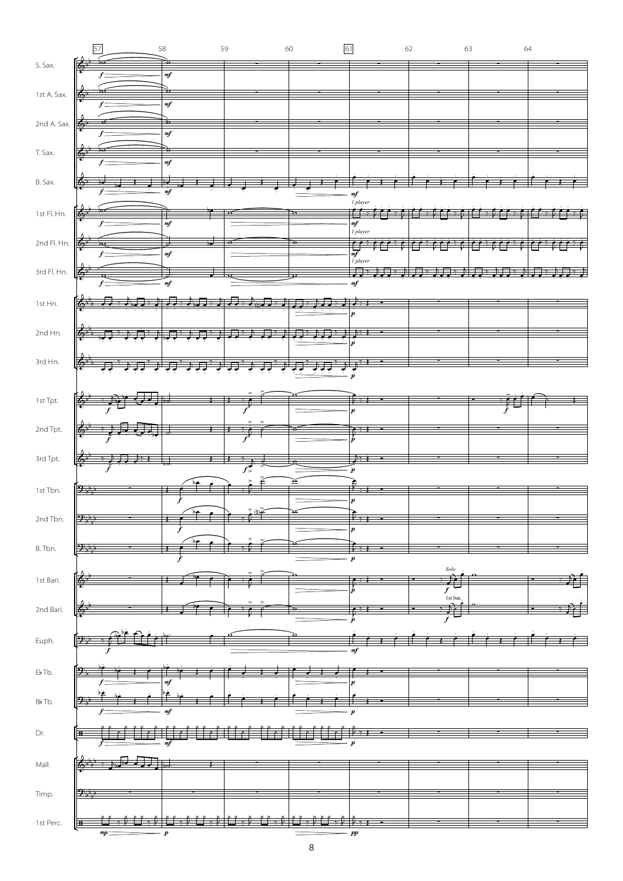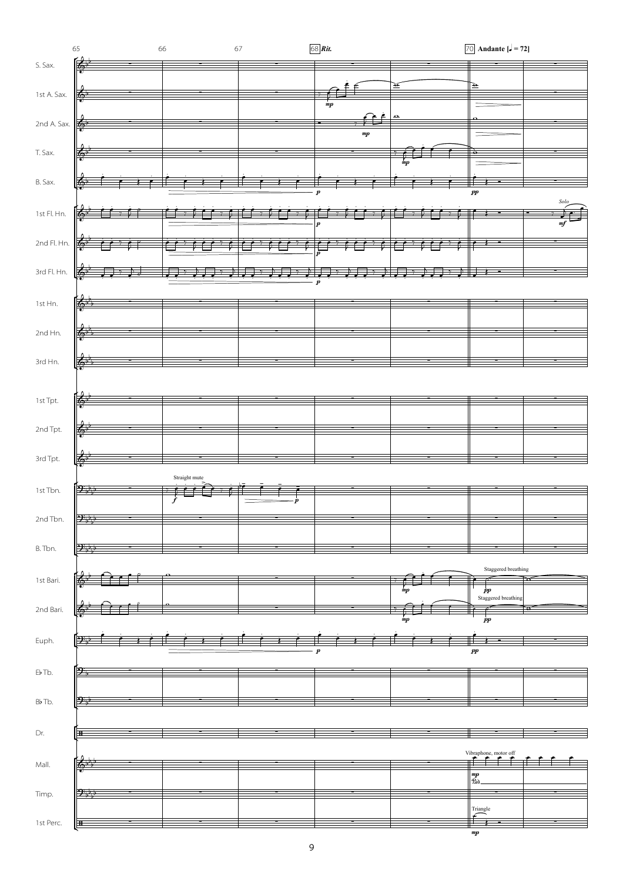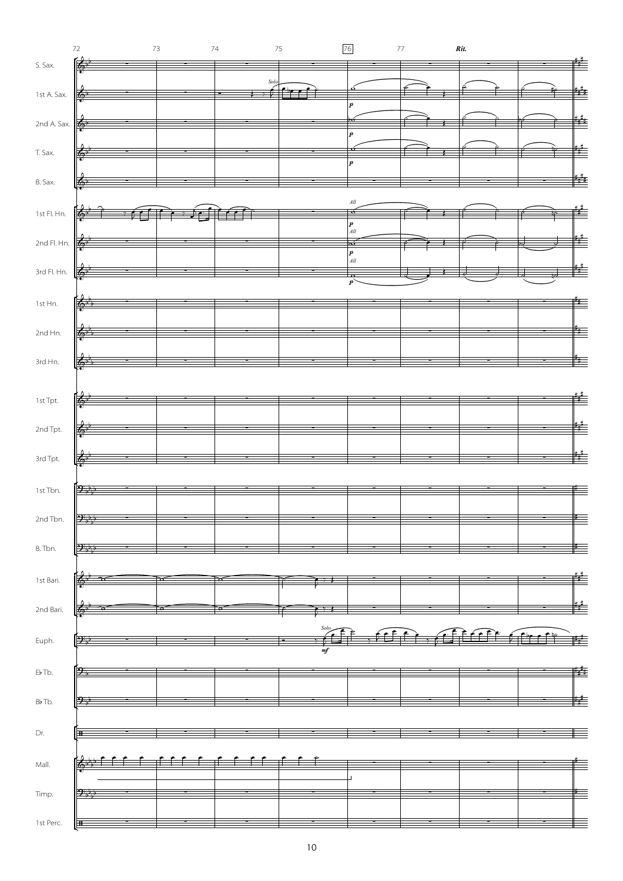|                     | 72                                                             | 73<br>74                                                                                                                                                                                                                                                                | 75        |                                                                                                                                                                                                                                                                                                                                                     | $\boxed{76}$                           | $77\,$ | $Rit$ . |                |
|---------------------|----------------------------------------------------------------|-------------------------------------------------------------------------------------------------------------------------------------------------------------------------------------------------------------------------------------------------------------------------|-----------|-----------------------------------------------------------------------------------------------------------------------------------------------------------------------------------------------------------------------------------------------------------------------------------------------------------------------------------------------------|----------------------------------------|--------|---------|----------------|
| S. Sax.             | क्रिके                                                         |                                                                                                                                                                                                                                                                         |           |                                                                                                                                                                                                                                                                                                                                                     |                                        |        |         |                |
| 1st A. Sax.         | 6                                                              |                                                                                                                                                                                                                                                                         |           | $\begin{picture}(180,10) \put(0,0){\line(1,0){10}} \put(15,0){\line(1,0){10}} \put(15,0){\line(1,0){10}} \put(15,0){\line(1,0){10}} \put(15,0){\line(1,0){10}} \put(15,0){\line(1,0){10}} \put(15,0){\line(1,0){10}} \put(15,0){\line(1,0){10}} \put(15,0){\line(1,0){10}} \put(15,0){\line(1,0){10}} \put(15,0){\line(1,0){10}} \put(15,0){\line($ |                                        |        |         | ₩              |
|                     |                                                                |                                                                                                                                                                                                                                                                         |           |                                                                                                                                                                                                                                                                                                                                                     | p                                      |        |         |                |
| 2nd A.Sax.          | 倭                                                              |                                                                                                                                                                                                                                                                         |           |                                                                                                                                                                                                                                                                                                                                                     | p                                      |        |         | ≝              |
| T. Sax.             |                                                                | $\equiv$                                                                                                                                                                                                                                                                |           |                                                                                                                                                                                                                                                                                                                                                     |                                        |        |         | 犨              |
|                     |                                                                |                                                                                                                                                                                                                                                                         |           |                                                                                                                                                                                                                                                                                                                                                     | p                                      |        |         |                |
| B. Sax.             | ķ.                                                             |                                                                                                                                                                                                                                                                         |           |                                                                                                                                                                                                                                                                                                                                                     |                                        |        |         | नि म           |
| 1st Fl. Hn.         | ⊯≸                                                             | $\hat{r}$ , $\hat{r}$ , $\hat{r}$ , $\hat{r}$ , $\hat{r}$ , $\hat{r}$ , $\hat{r}$ , $\hat{r}$ , $\hat{r}$ , $\hat{r}$ , $\hat{r}$ , $\hat{r}$ , $\hat{r}$ , $\hat{r}$ , $\hat{r}$ , $\hat{r}$ , $\hat{r}$ , $\hat{r}$ , $\hat{r}$ , $\hat{r}$ , $\hat{r}$ , $\hat{r}$ , |           | $\sim$                                                                                                                                                                                                                                                                                                                                              | $\it All$<br>⊺∝                        |        |         | 犨              |
|                     |                                                                |                                                                                                                                                                                                                                                                         |           |                                                                                                                                                                                                                                                                                                                                                     | $\boldsymbol{p}$<br>$\boldsymbol{All}$ |        |         |                |
| 2nd Fl. Hn. $\vert$ | €                                                              | $\sim$ $\sim$ $\sim$ $\sim$                                                                                                                                                                                                                                             |           |                                                                                                                                                                                                                                                                                                                                                     | ≅<br>p                                 |        |         | ≝              |
| 3rd Fl. Hn.         | €                                                              |                                                                                                                                                                                                                                                                         |           |                                                                                                                                                                                                                                                                                                                                                     | All                                    |        |         | 犨              |
|                     |                                                                |                                                                                                                                                                                                                                                                         |           |                                                                                                                                                                                                                                                                                                                                                     |                                        |        |         |                |
| 1st Hn.             | $\mathbb{Z}^2$<br>$\mathcal{F} = \mathcal{F} \cup \mathcal{F}$ | ≂                                                                                                                                                                                                                                                                       |           |                                                                                                                                                                                                                                                                                                                                                     |                                        |        |         | ≞              |
| $2nd Hn.$           |                                                                |                                                                                                                                                                                                                                                                         |           |                                                                                                                                                                                                                                                                                                                                                     |                                        |        |         | "‡≣            |
|                     |                                                                |                                                                                                                                                                                                                                                                         |           |                                                                                                                                                                                                                                                                                                                                                     |                                        |        |         |                |
| 3rd Hn.             | $\overline{\mathbb{G}}$<br>$\sim$ $\sim$                       |                                                                                                                                                                                                                                                                         |           |                                                                                                                                                                                                                                                                                                                                                     |                                        |        |         | ≞              |
| 1st Tpt.            |                                                                |                                                                                                                                                                                                                                                                         |           |                                                                                                                                                                                                                                                                                                                                                     |                                        |        |         | 峼              |
|                     |                                                                |                                                                                                                                                                                                                                                                         |           |                                                                                                                                                                                                                                                                                                                                                     |                                        |        |         |                |
| 2nd Tpt.            |                                                                |                                                                                                                                                                                                                                                                         |           |                                                                                                                                                                                                                                                                                                                                                     |                                        |        |         | 羋              |
| 3rd Tpt.            | $\Phi$                                                         |                                                                                                                                                                                                                                                                         |           |                                                                                                                                                                                                                                                                                                                                                     |                                        |        |         | 犨              |
|                     |                                                                |                                                                                                                                                                                                                                                                         |           |                                                                                                                                                                                                                                                                                                                                                     |                                        |        |         |                |
| 1st Tbn.            | 2, 1                                                           |                                                                                                                                                                                                                                                                         |           |                                                                                                                                                                                                                                                                                                                                                     |                                        |        |         | ≛≣             |
| 2nd Tbn.            | $\mathfrak{p}_{\mathbb{N}^*}$                                  |                                                                                                                                                                                                                                                                         |           |                                                                                                                                                                                                                                                                                                                                                     |                                        |        |         | Ξ              |
|                     |                                                                |                                                                                                                                                                                                                                                                         |           |                                                                                                                                                                                                                                                                                                                                                     |                                        |        |         |                |
| B. Tbn.             | $\mathfrak{I} \not \models$                                    |                                                                                                                                                                                                                                                                         |           |                                                                                                                                                                                                                                                                                                                                                     |                                        |        |         | $\frac{1}{2}$  |
| 1st Bari.           |                                                                | $\frac{1}{\alpha}$                                                                                                                                                                                                                                                      | $\bullet$ |                                                                                                                                                                                                                                                                                                                                                     |                                        |        |         | ≛              |
|                     |                                                                |                                                                                                                                                                                                                                                                         |           |                                                                                                                                                                                                                                                                                                                                                     |                                        |        |         | ᢞ              |
| 2nd Bari.           | $\Phi$                                                         |                                                                                                                                                                                                                                                                         |           |                                                                                                                                                                                                                                                                                                                                                     |                                        |        |         |                |
| Euph.               | $\mathfrak{P}$                                                 |                                                                                                                                                                                                                                                                         |           | $rac{Solo}{\frac{1}{2}}$<br>$\it mf$                                                                                                                                                                                                                                                                                                                |                                        |        |         | $\mathbb{R}^+$ |
|                     | Э,                                                             |                                                                                                                                                                                                                                                                         |           |                                                                                                                                                                                                                                                                                                                                                     |                                        |        |         | 諈              |
| $Eb$ Tb.            |                                                                |                                                                                                                                                                                                                                                                         |           |                                                                                                                                                                                                                                                                                                                                                     |                                        |        |         |                |
| Bb Tb.              | $\mathcal{P}^+$                                                |                                                                                                                                                                                                                                                                         |           |                                                                                                                                                                                                                                                                                                                                                     |                                        |        |         | 桂              |
| Dr.                 | 표                                                              |                                                                                                                                                                                                                                                                         |           |                                                                                                                                                                                                                                                                                                                                                     |                                        |        |         | Ξ              |
|                     |                                                                |                                                                                                                                                                                                                                                                         |           |                                                                                                                                                                                                                                                                                                                                                     |                                        |        |         |                |
| Mall.               |                                                                |                                                                                                                                                                                                                                                                         |           |                                                                                                                                                                                                                                                                                                                                                     |                                        |        |         | ⊫              |
| Timp.               | $2\,\rightarrow$                                               |                                                                                                                                                                                                                                                                         |           |                                                                                                                                                                                                                                                                                                                                                     |                                        |        |         | $^{\prime}$    |
|                     |                                                                |                                                                                                                                                                                                                                                                         |           |                                                                                                                                                                                                                                                                                                                                                     |                                        |        |         |                |
| 1st Perc.           | 正                                                              |                                                                                                                                                                                                                                                                         |           |                                                                                                                                                                                                                                                                                                                                                     |                                        |        |         |                |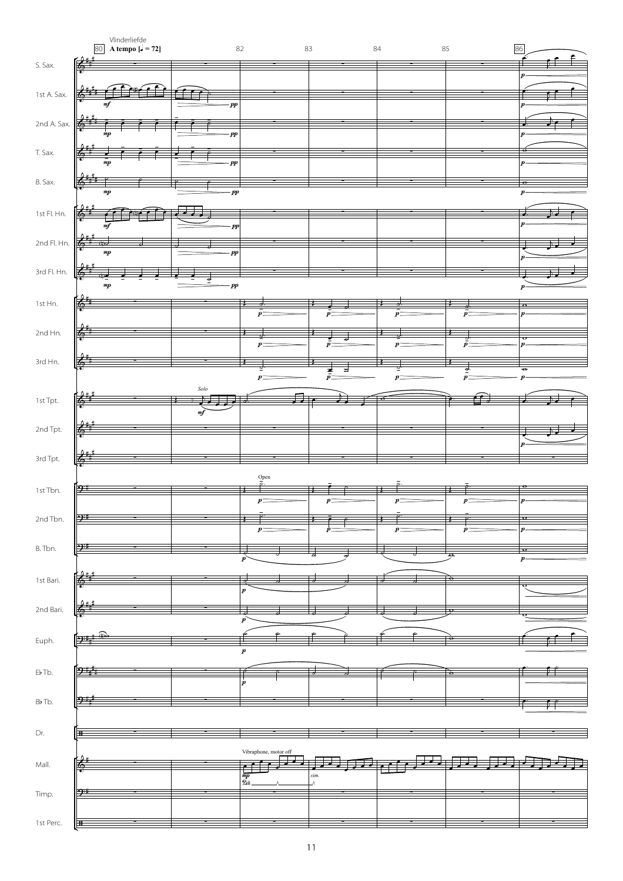|                                                         |                  | Vlinderliefde<br>80 <b>A tempo</b> $\begin{bmatrix} 1 \\ \end{bmatrix} = 72$ |                 | 82                    | 83               | 84               | 85                                  | 86                      |
|---------------------------------------------------------|------------------|------------------------------------------------------------------------------|-----------------|-----------------------|------------------|------------------|-------------------------------------|-------------------------|
|                                                         |                  |                                                                              |                 |                       |                  |                  |                                     |                         |
| S. Sax.                                                 |                  |                                                                              |                 |                       |                  |                  |                                     |                         |
|                                                         |                  |                                                                              |                 |                       |                  |                  |                                     | $\boldsymbol{p}$        |
|                                                         |                  |                                                                              |                 |                       |                  |                  |                                     |                         |
| 1st A. Sax.                                             |                  |                                                                              |                 |                       |                  |                  |                                     |                         |
|                                                         | m f              |                                                                              | pp              |                       |                  |                  |                                     | $\boldsymbol{v}$        |
|                                                         |                  |                                                                              |                 |                       |                  |                  |                                     |                         |
| 2nd A. Sax.                                             |                  |                                                                              |                 |                       |                  |                  |                                     |                         |
|                                                         | mр               |                                                                              | $\cdot$ $pp$    |                       |                  |                  |                                     |                         |
|                                                         |                  |                                                                              |                 |                       |                  |                  |                                     |                         |
| T. Sax.                                                 |                  |                                                                              |                 |                       |                  |                  |                                     |                         |
|                                                         | mp               |                                                                              | $\cdot$ $pp$    |                       |                  |                  |                                     |                         |
|                                                         |                  |                                                                              |                 |                       |                  |                  |                                     |                         |
| B. Sax.                                                 |                  |                                                                              |                 |                       |                  |                  |                                     |                         |
|                                                         | $\boldsymbol{m}$ |                                                                              | $-pp$           |                       |                  |                  |                                     | $p-$                    |
|                                                         |                  |                                                                              |                 |                       |                  |                  |                                     |                         |
| 1st Fl. Hn.                                             |                  | P(like                                                                       |                 |                       |                  |                  |                                     |                         |
|                                                         | mf               |                                                                              | $\cdot$ pp      |                       |                  |                  |                                     |                         |
|                                                         |                  |                                                                              |                 |                       |                  |                  |                                     |                         |
| 2nd Fl. Hn.                                             | 6                |                                                                              |                 |                       |                  |                  |                                     |                         |
|                                                         | $_{mp}$          |                                                                              | $-pp$           |                       |                  |                  |                                     |                         |
|                                                         |                  |                                                                              |                 |                       |                  |                  |                                     |                         |
| 3rd Fl. Hn.                                             | 6                |                                                                              |                 |                       |                  |                  |                                     |                         |
|                                                         | $\it mp$         |                                                                              | - pp            |                       |                  |                  |                                     | $\boldsymbol{p}$        |
|                                                         |                  |                                                                              |                 |                       |                  |                  |                                     |                         |
| 1st Hn.                                                 |                  |                                                                              |                 |                       |                  |                  |                                     |                         |
|                                                         |                  |                                                                              |                 | $p^-$                 | $\boldsymbol{p}$ | $p^-$            | $\boldsymbol{p}$                    |                         |
|                                                         |                  |                                                                              |                 |                       |                  |                  |                                     |                         |
| 2nd Hn.                                                 | 6                |                                                                              |                 |                       |                  |                  |                                     | $\sigma$                |
|                                                         |                  |                                                                              |                 | $\boldsymbol{p}$      | $\boldsymbol{p}$ | $\boldsymbol{p}$ | $\bar{p}$                           | $\boldsymbol{p}$        |
|                                                         |                  |                                                                              |                 |                       |                  |                  |                                     |                         |
| 3rd Hn.                                                 | ⊕                |                                                                              |                 |                       |                  |                  |                                     | $\overline{\sigma}$     |
|                                                         |                  |                                                                              |                 | $p_{-}$               | $\boldsymbol{p}$ | $\boldsymbol{p}$ | $\frac{\overline{d}}{\overline{p}}$ | n                       |
|                                                         |                  |                                                                              |                 |                       |                  |                  |                                     |                         |
|                                                         |                  |                                                                              | $\mathit{Solo}$ |                       |                  | ರ                |                                     |                         |
| 1st Tpt.                                                |                  |                                                                              |                 |                       |                  |                  |                                     |                         |
|                                                         |                  |                                                                              | m f             |                       |                  |                  |                                     |                         |
|                                                         |                  |                                                                              |                 |                       |                  |                  |                                     |                         |
| 2nd Tpt.                                                |                  |                                                                              |                 |                       |                  |                  |                                     |                         |
|                                                         |                  |                                                                              |                 |                       |                  |                  |                                     |                         |
|                                                         |                  |                                                                              |                 |                       |                  |                  |                                     |                         |
| 3rd Tpt.                                                | €                |                                                                              |                 |                       |                  |                  |                                     |                         |
|                                                         |                  |                                                                              |                 |                       |                  |                  |                                     |                         |
|                                                         | 91               |                                                                              |                 | Open $\frac{5}{6}$ .  |                  |                  |                                     | $\overline{\mathbf{o}}$ |
| 1st Tbn.                                                |                  |                                                                              |                 |                       | ₹                | ⇉                | ₹                                   |                         |
|                                                         |                  |                                                                              |                 | $p_{-}$               | $p-$             | $p^-$            | $p^-$                               | $\boldsymbol{p}$        |
|                                                         | 9 F              |                                                                              |                 | Ť                     |                  | ₹                |                                     | $\mathbf{\sigma}$       |
| 2nd Tbn.                                                |                  |                                                                              |                 |                       |                  |                  |                                     |                         |
|                                                         |                  |                                                                              |                 | $p-$                  |                  | $p_{-}$          | $\boldsymbol{p}$                    | $\boldsymbol{p}$        |
| B. Tbn.                                                 | <del>91</del>    |                                                                              |                 |                       |                  |                  |                                     |                         |
|                                                         |                  |                                                                              |                 |                       |                  |                  |                                     | $\overline{\mathbf{c}}$ |
|                                                         |                  |                                                                              |                 |                       |                  |                  |                                     |                         |
|                                                         |                  |                                                                              |                 | $\boldsymbol{p}$      |                  |                  |                                     | $p-$                    |
|                                                         |                  |                                                                              |                 |                       |                  |                  |                                     |                         |
|                                                         | $\frac{2}{6}$    |                                                                              |                 | ₹                     |                  |                  | $\dot{\mathbf{\sigma}}$             |                         |
|                                                         |                  |                                                                              |                 | $\boldsymbol{p}$      |                  |                  |                                     |                         |
|                                                         |                  |                                                                              |                 |                       |                  |                  |                                     |                         |
|                                                         | 6                |                                                                              |                 |                       |                  |                  | ø                                   |                         |
|                                                         |                  |                                                                              |                 | $\boldsymbol{p}$      |                  |                  |                                     |                         |
|                                                         |                  |                                                                              |                 |                       |                  |                  |                                     |                         |
|                                                         | <del>94 %</del>  |                                                                              |                 |                       |                  |                  |                                     |                         |
|                                                         |                  |                                                                              |                 | $\pmb{p}$             |                  |                  |                                     |                         |
|                                                         |                  |                                                                              |                 |                       |                  |                  |                                     |                         |
|                                                         | 94,              |                                                                              |                 |                       |                  |                  | $\dot{\sigma}$                      | ⊵                       |
|                                                         |                  |                                                                              |                 | $\boldsymbol{p}$      |                  |                  |                                     |                         |
|                                                         |                  |                                                                              |                 |                       |                  |                  |                                     |                         |
|                                                         | つ早               |                                                                              |                 |                       |                  |                  |                                     |                         |
|                                                         |                  |                                                                              |                 |                       |                  |                  |                                     | $\sqrt{\ }$             |
|                                                         |                  |                                                                              |                 |                       |                  |                  |                                     |                         |
|                                                         |                  |                                                                              |                 |                       |                  |                  |                                     |                         |
| 1st Bari.<br>2nd Bari.<br>Euph.<br>$Eb$ Tb.<br>$Bb$ Tb. | $\blacksquare$   |                                                                              |                 |                       |                  |                  |                                     |                         |
|                                                         |                  |                                                                              |                 |                       |                  |                  |                                     |                         |
|                                                         |                  |                                                                              |                 | Vibraphone, motor off |                  |                  |                                     |                         |
|                                                         | $\phi^*$         |                                                                              |                 |                       |                  |                  |                                     |                         |
|                                                         |                  |                                                                              |                 |                       | sim.             |                  |                                     |                         |
| Timp.                                                   |                  |                                                                              |                 | mp<br>Led             |                  |                  |                                     |                         |
|                                                         | 9‡               |                                                                              |                 |                       |                  |                  |                                     |                         |
|                                                         |                  |                                                                              |                 |                       |                  |                  |                                     |                         |
| 1st Perc.                                               | 覀                |                                                                              |                 |                       |                  |                  |                                     |                         |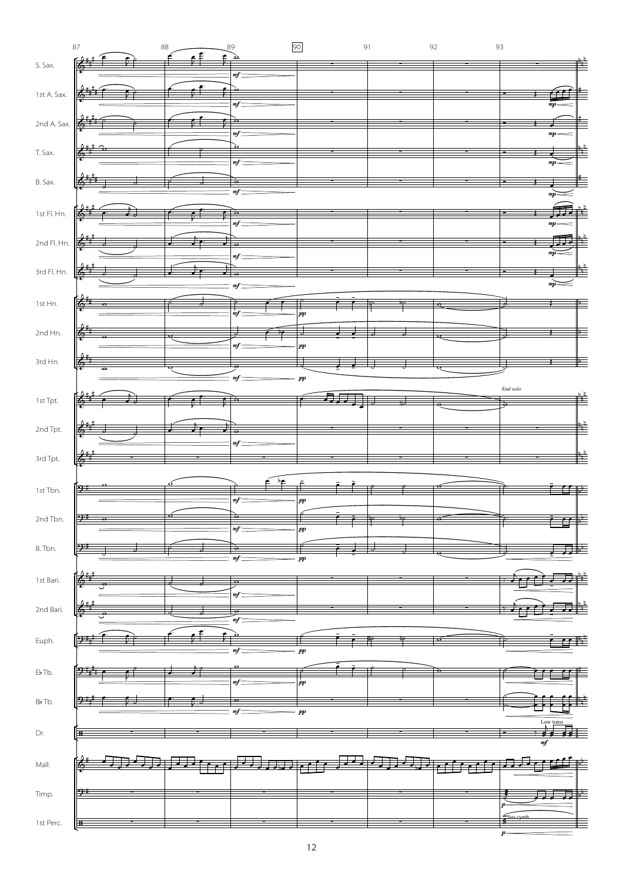|                                        | 87                 | 88 | 89                                                        | 90                                                     | 91 | 92 | 93                              |                |
|----------------------------------------|--------------------|----|-----------------------------------------------------------|--------------------------------------------------------|----|----|---------------------------------|----------------|
| S. Sax.                                |                    |    |                                                           |                                                        |    |    |                                 |                |
|                                        |                    |    | $m f =$                                                   |                                                        |    |    |                                 |                |
| 1st A. Sax.                            | to                 | £  |                                                           |                                                        |    |    |                                 |                |
|                                        |                    |    | $m\!f$ $\!\!\!\!\!\!\!\!\!\!-$                            |                                                        |    |    | $\mathfrak{m}p$                 |                |
|                                        |                    |    |                                                           |                                                        |    |    |                                 |                |
| 2nd A. Sax.                            |                    |    | mf                                                        |                                                        |    |    | $\mathfrak{m}p$ -               |                |
|                                        |                    |    |                                                           |                                                        |    |    |                                 |                |
| T. Sax.                                |                    |    | $m\!f$ $\bar{}$                                           |                                                        |    |    | mp                              |                |
|                                        |                    |    |                                                           |                                                        |    |    |                                 |                |
| B. Sax.                                |                    |    |                                                           |                                                        |    |    |                                 |                |
|                                        |                    |    | $m f$ .                                                   |                                                        |    |    | mp                              |                |
| $1$ st Fl. Hn.                         | る                  |    | $\overline{\bullet}$                                      |                                                        |    |    |                                 |                |
|                                        |                    |    | m f                                                       |                                                        |    |    | mp                              |                |
| 2nd Fl. Hn.                            | 石                  |    |                                                           |                                                        |    |    |                                 |                |
|                                        |                    |    | $m f$ .                                                   |                                                        |    |    | mp                              |                |
| 3rd Fl. Hn.                            |                    |    |                                                           |                                                        |    |    |                                 |                |
|                                        | る                  |    |                                                           |                                                        |    |    | mp                              |                |
|                                        |                    |    | mf                                                        |                                                        |    |    |                                 |                |
| 1st Hn.                                |                    |    |                                                           |                                                        |    |    |                                 |                |
|                                        |                    |    | mf                                                        | pp                                                     |    |    |                                 |                |
| 2nd Hn.                                | 6                  |    |                                                           |                                                        |    |    |                                 |                |
|                                        |                    |    | $m f$ :                                                   | $p\hspace{-0.5mm}p$                                    |    |    |                                 |                |
| 3rd Hn.                                | 牵                  |    |                                                           |                                                        |    |    |                                 |                |
|                                        |                    |    | m f                                                       | $p\hspace{-0.5mm}p$                                    |    |    |                                 |                |
|                                        |                    |    |                                                           |                                                        |    |    | $\mathit{End} \; \mathit{solo}$ |                |
| 1st Tpt.                               |                    |    |                                                           |                                                        |    |    |                                 | Ľ,             |
|                                        |                    |    |                                                           |                                                        |    |    |                                 |                |
| 2nd Tpt.                               |                    |    | $\overline{\bullet}$                                      |                                                        |    |    |                                 | Ŧ              |
|                                        |                    |    | $m\!f$                                                    |                                                        |    |    |                                 |                |
| 3rd Tpt.                               | る                  |    |                                                           |                                                        |    |    |                                 |                |
|                                        |                    |    |                                                           |                                                        |    |    |                                 |                |
|                                        | $\mathbb{P}^{\pm}$ |    | Þ₽                                                        |                                                        |    |    |                                 |                |
| 1st Tbn.                               |                    |    | $\it mf$                                                  | $p\hspace{-.08cm}p$                                    |    |    | $\Box$ )                        |                |
|                                        |                    |    |                                                           |                                                        |    |    |                                 |                |
| 2nd Tbn.                               | <del>91</del>      |    |                                                           |                                                        |    |    | ←                               |                |
|                                        |                    |    | $m\!f$ $\!^-$                                             | $\boldsymbol{pp}$                                      |    |    |                                 |                |
| B. Tbn.                                | 91                 |    | $\overline{\cdot}$                                        | ▱                                                      |    |    | 月ず                              |                |
|                                        |                    |    | $m\hspace{-0.12cm}/\hspace{-0.12cm}f$ $\hspace{-0.12cm}/$ | $p\hspace{-.08cm}p\hspace{-.09cm}\bar{}\hspace{.09cm}$ |    |    |                                 |                |
| 1st Bari.                              |                    |    |                                                           |                                                        |    |    |                                 |                |
|                                        |                    |    | $m f \equiv$                                              |                                                        |    |    |                                 |                |
| 2nd Bari.                              | ъ.                 |    |                                                           |                                                        |    |    |                                 |                |
|                                        |                    |    | mf                                                        |                                                        |    |    | . .                             |                |
|                                        |                    | €  |                                                           |                                                        |    |    |                                 |                |
| Euph.                                  |                    |    |                                                           |                                                        |    | ó  |                                 | $\mathbb{F}^1$ |
|                                        |                    |    | $m\!f$                                                    | $\cdot$ $pp$                                           |    |    |                                 |                |
| $\mathsf{E}\flat\mathsf{T}\mathsf{b}.$ |                    | J  |                                                           | Ρ                                                      |    | ò  | ݮ<br>$\overline{\phantom{a}}$   |                |
|                                        |                    |    | $m f$ .                                                   | pp                                                     |    |    |                                 |                |
| Bb Tb.                                 | 9                  |    | $\bullet$                                                 |                                                        |    |    |                                 |                |
|                                        |                    |    | $m\!f$                                                    | $p\hspace{-0.5mm}p$                                    |    |    |                                 |                |
|                                        |                    |    |                                                           |                                                        |    |    | Low toms<br>$\frac{1}{3}$       |                |
| Dr.                                    | $\blacksquare$     |    |                                                           |                                                        |    |    | 7,<br>$\it mf$                  |                |
|                                        |                    |    |                                                           |                                                        |    |    |                                 |                |
| Mall.                                  |                    |    |                                                           |                                                        |    |    |                                 |                |
|                                        |                    |    |                                                           |                                                        |    |    |                                 |                |
| Timp.                                  | 91                 |    |                                                           |                                                        |    |    | 月曜                              |                |
|                                        |                    |    |                                                           |                                                        |    |    |                                 |                |
| 1st Perc.                              | H                  |    |                                                           |                                                        |    |    | $\frac{1}{2}$ Sus cymb.         |                |
|                                        |                    |    |                                                           |                                                        |    |    | $p-$                            |                |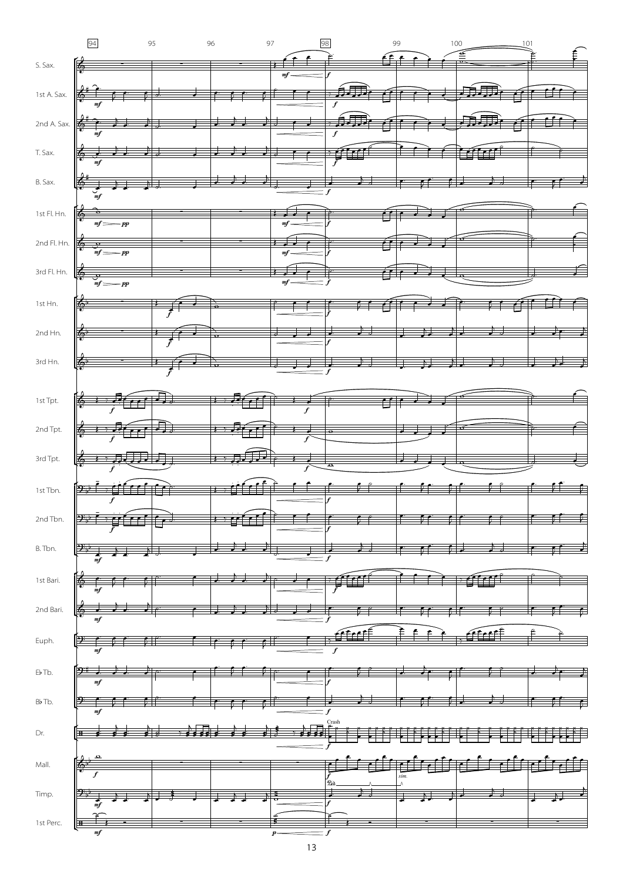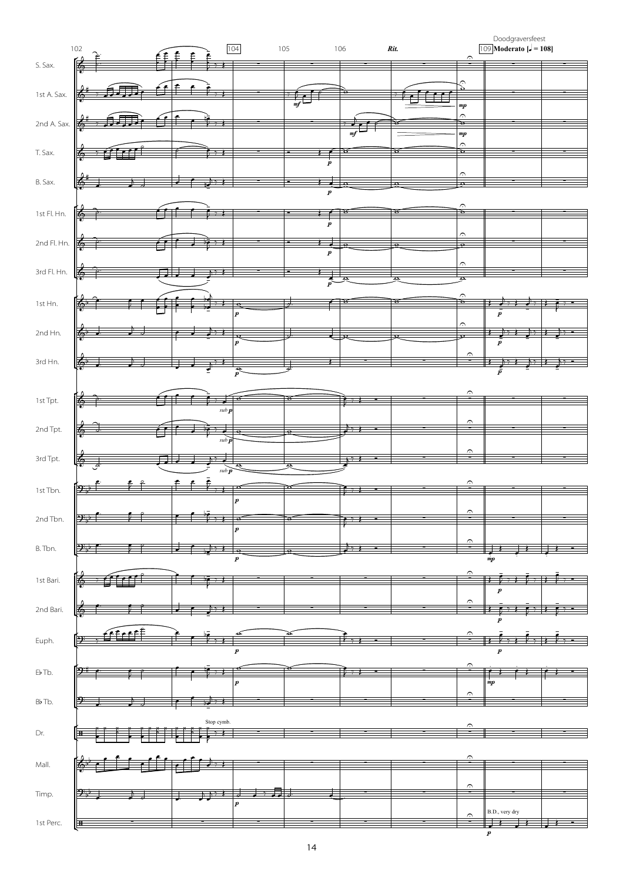|             |                |    |                                                        |                  |                               |                         |                         | Doodgraversfeest                                              |                   |
|-------------|----------------|----|--------------------------------------------------------|------------------|-------------------------------|-------------------------|-------------------------|---------------------------------------------------------------|-------------------|
|             | $102\,$        |    | 104                                                    | 105              | 106                           | $Rit$ .                 |                         | 109 Moderato $\left[\rule{0pt}{10pt}\right]$ = 108]           |                   |
|             |                |    |                                                        |                  |                               |                         |                         |                                                               |                   |
| S. Sax.     |                |    |                                                        |                  |                               |                         |                         |                                                               |                   |
|             |                |    |                                                        |                  |                               |                         |                         |                                                               |                   |
|             |                |    |                                                        |                  |                               |                         |                         |                                                               |                   |
|             |                |    |                                                        |                  |                               |                         |                         |                                                               |                   |
| 1st A. Sax. |                |    |                                                        |                  |                               |                         |                         |                                                               |                   |
|             |                |    |                                                        | m f              |                               |                         | тp                      |                                                               |                   |
|             |                |    |                                                        |                  |                               |                         | $\widehat{\phantom{m}}$ |                                                               |                   |
| 2nd A. Sax. |                |    |                                                        |                  |                               |                         | ্র                      |                                                               |                   |
|             |                |    |                                                        |                  |                               |                         |                         |                                                               |                   |
|             |                |    |                                                        |                  | m f                           |                         | $\it mp$                |                                                               |                   |
|             |                |    |                                                        |                  |                               |                         | $\widehat{\phantom{m}}$ |                                                               |                   |
| T. Sax.     |                |    | , r                                                    |                  | ╦                             | ४                       | ৯                       |                                                               |                   |
|             |                |    |                                                        |                  |                               |                         |                         |                                                               |                   |
|             |                |    |                                                        | $\boldsymbol{p}$ |                               |                         |                         |                                                               |                   |
|             |                |    |                                                        |                  |                               |                         | ؞                       |                                                               |                   |
| B. Sax.     | $\frac{1}{6}$  |    |                                                        | रे∃®             |                               | $\overline{\mathbf{e}}$ | $\overline{\bullet}$    |                                                               |                   |
|             |                |    |                                                        | $\boldsymbol{p}$ |                               |                         |                         |                                                               |                   |
|             |                |    |                                                        |                  |                               |                         |                         |                                                               |                   |
|             |                |    |                                                        |                  |                               |                         | $\frac{1}{\mathbf{p}}$  |                                                               |                   |
| 1st Fl. Hn. | 6              |    | ₹                                                      | ∙িত              |                               | ⊻                       |                         |                                                               |                   |
|             |                |    |                                                        | $\boldsymbol{p}$ |                               |                         |                         |                                                               |                   |
|             |                |    |                                                        |                  |                               |                         |                         |                                                               |                   |
| 2nd Fl. Hn. |                | ┮  |                                                        |                  |                               |                         | $\widehat{\phantom{a}}$ |                                                               |                   |
|             | 6              |    |                                                        |                  |                               |                         |                         |                                                               |                   |
|             |                |    |                                                        | $\pmb{p}$        |                               |                         |                         |                                                               |                   |
|             |                |    |                                                        |                  |                               |                         | ؞                       |                                                               |                   |
| 3rd Fl. Hn. | 6              | ĀŲ |                                                        |                  |                               |                         |                         |                                                               |                   |
|             |                |    |                                                        | $\overline{p}$   |                               |                         |                         |                                                               |                   |
|             |                |    |                                                        |                  |                               |                         |                         |                                                               |                   |
|             |                |    |                                                        |                  |                               |                         |                         |                                                               |                   |
| 1st Hn.     |                |    | $\overline{\mathbf{Q}}$                                |                  |                               | ਨ                       | $\frac{1}{\mathbf{p}}$  | $\rightarrow$ $\rightarrow$ $\rightarrow$ $\rightarrow$<br>⊅∻ |                   |
|             |                |    | $\boldsymbol{p}$                                       |                  |                               |                         |                         | $\boldsymbol{p}$                                              |                   |
|             |                |    |                                                        |                  |                               |                         |                         |                                                               |                   |
|             |                |    |                                                        |                  |                               |                         | ؞                       |                                                               |                   |
| 2nd Hn.     | ♦              |    | $\rightarrow$ $\rightarrow$<br>$\overline{\mathbf{Q}}$ |                  |                               | $\bullet$               |                         | £                                                             | ₹                 |
|             |                |    | $\boldsymbol{p}$                                       |                  |                               |                         |                         | $\boldsymbol{p}$                                              |                   |
|             |                |    |                                                        |                  |                               |                         |                         |                                                               |                   |
|             |                |    |                                                        |                  |                               |                         | $\curvearrowright$      | ₩                                                             |                   |
| 3rd Hn.     | ⊕              |    |                                                        |                  |                               |                         |                         |                                                               |                   |
|             |                |    | $\frac{1}{p}$<br>₹                                     |                  |                               |                         |                         | $\bar{p}$                                                     |                   |
|             |                |    |                                                        |                  |                               |                         |                         |                                                               |                   |
|             |                |    |                                                        |                  |                               |                         |                         |                                                               |                   |
| 1st Tpt.    |                |    | ದ                                                      | $\mathbf{z}$     |                               |                         | ؞                       |                                                               |                   |
|             |                |    |                                                        |                  |                               |                         |                         |                                                               |                   |
|             |                |    | $sub$ $\boldsymbol{p}$                                 |                  |                               |                         |                         |                                                               |                   |
|             |                |    |                                                        |                  |                               |                         | ⌒                       |                                                               |                   |
| 2nd Tpt.    |                |    |                                                        |                  |                               |                         |                         |                                                               |                   |
|             |                |    |                                                        |                  |                               |                         |                         |                                                               |                   |
|             |                |    | $sub\tau$                                              |                  |                               |                         |                         |                                                               |                   |
|             |                |    |                                                        |                  |                               |                         | ؞                       |                                                               |                   |
| 3rd Tpt.    | ଛ              |    |                                                        |                  | $\overline{N^2}$              |                         |                         |                                                               |                   |
|             |                |    | $sub$ $\overline{p}$                                   |                  |                               |                         |                         |                                                               |                   |
|             |                |    |                                                        |                  |                               |                         |                         |                                                               |                   |
|             |                |    |                                                        |                  |                               |                         | ؞                       |                                                               |                   |
| 1st Tbn.    | $9+$           |    | ⊖                                                      | ⊖                | 5:1                           |                         | ÷                       |                                                               |                   |
|             |                |    | $\vert p \vert$                                        |                  |                               |                         |                         |                                                               |                   |
|             |                |    |                                                        |                  |                               |                         |                         |                                                               |                   |
|             |                |    | ₽€<br>$\rightarrow$ $\rightarrow$                      |                  |                               |                         | ؞                       |                                                               |                   |
| 2nd Tbn.    | $9 + 1$        |    |                                                        |                  |                               |                         |                         |                                                               |                   |
|             |                |    | p                                                      |                  |                               |                         |                         |                                                               |                   |
|             |                |    |                                                        |                  |                               |                         | ⌒                       |                                                               |                   |
| B. Tbn.     | $2+$           |    |                                                        |                  |                               |                         |                         |                                                               |                   |
|             |                |    |                                                        |                  |                               |                         |                         |                                                               |                   |
|             |                |    | $\boldsymbol{p}$                                       |                  |                               |                         |                         | $\dot{m}p$                                                    |                   |
|             |                |    |                                                        |                  |                               |                         | ⌒                       |                                                               |                   |
| 1st Bari.   | r fre<br>6     |    | দ                                                      |                  |                               |                         | ÷                       | $5 \times 1$<br>$5 \times 13$<br>⊨                            | $D \rightarrow -$ |
|             |                |    |                                                        |                  |                               |                         |                         |                                                               |                   |
|             |                |    |                                                        |                  |                               |                         |                         | $\boldsymbol{p}$                                              |                   |
|             |                |    |                                                        |                  |                               |                         | یر                      |                                                               |                   |
| 2nd Bari.   |                |    |                                                        |                  |                               |                         |                         |                                                               |                   |
|             |                |    |                                                        |                  |                               |                         |                         |                                                               |                   |
|             |                |    |                                                        |                  |                               |                         |                         |                                                               |                   |
|             |                |    |                                                        |                  |                               |                         | ؊                       |                                                               |                   |
| Euph.       |                |    |                                                        |                  | $\mathcal{F}_{\mathcal{F},k}$ |                         | -                       | ∣₹                                                            |                   |
|             |                |    | $\boldsymbol{p}$                                       |                  |                               |                         |                         | $\boldsymbol{p}$                                              |                   |
|             |                |    |                                                        |                  |                               |                         |                         |                                                               |                   |
|             |                |    | Œ                                                      | õ                |                               |                         |                         |                                                               |                   |
| $Eb$ Tb.    | ≢ל             |    |                                                        |                  | 7.1                           |                         |                         | $\left  \cdot \right $                                        |                   |
|             |                |    | p                                                      |                  |                               |                         |                         | $\binom{mp}{2}$                                               |                   |
|             |                |    |                                                        |                  |                               |                         |                         |                                                               |                   |
|             |                |    |                                                        |                  |                               |                         | $\hat{\phantom{a}}$     |                                                               |                   |
| $Bb$ Tb.    |                |    |                                                        |                  |                               |                         |                         |                                                               |                   |
|             |                |    |                                                        |                  |                               |                         |                         |                                                               |                   |
|             |                |    | Stop cymb.                                             |                  |                               |                         |                         |                                                               |                   |
| Dr.         | $\blacksquare$ |    |                                                        |                  |                               |                         | $\hat{\phantom{a}}$     |                                                               |                   |
|             |                |    |                                                        |                  |                               |                         |                         |                                                               |                   |
|             |                |    |                                                        |                  |                               |                         |                         |                                                               |                   |
|             |                |    |                                                        |                  |                               |                         |                         |                                                               |                   |
|             |                |    |                                                        |                  |                               |                         | ٮ<br>Ξ                  |                                                               |                   |
| Mall.       |                |    |                                                        |                  |                               |                         |                         |                                                               |                   |
|             |                |    |                                                        |                  |                               |                         |                         |                                                               |                   |
|             |                |    |                                                        |                  |                               |                         | $\Omega$                |                                                               |                   |
| Timp.       | $2+$           |    | $\cdot$<br>$h \rightarrow k$                           |                  |                               |                         | -                       |                                                               |                   |
|             |                |    | $\boldsymbol{p}$                                       |                  |                               |                         |                         |                                                               |                   |
|             |                |    |                                                        |                  |                               |                         |                         |                                                               |                   |
|             |                |    |                                                        |                  |                               |                         |                         |                                                               |                   |
|             |                |    |                                                        |                  |                               |                         |                         | B.D., very dry                                                |                   |
| 1st Perc.   | H              |    |                                                        |                  |                               |                         |                         |                                                               |                   |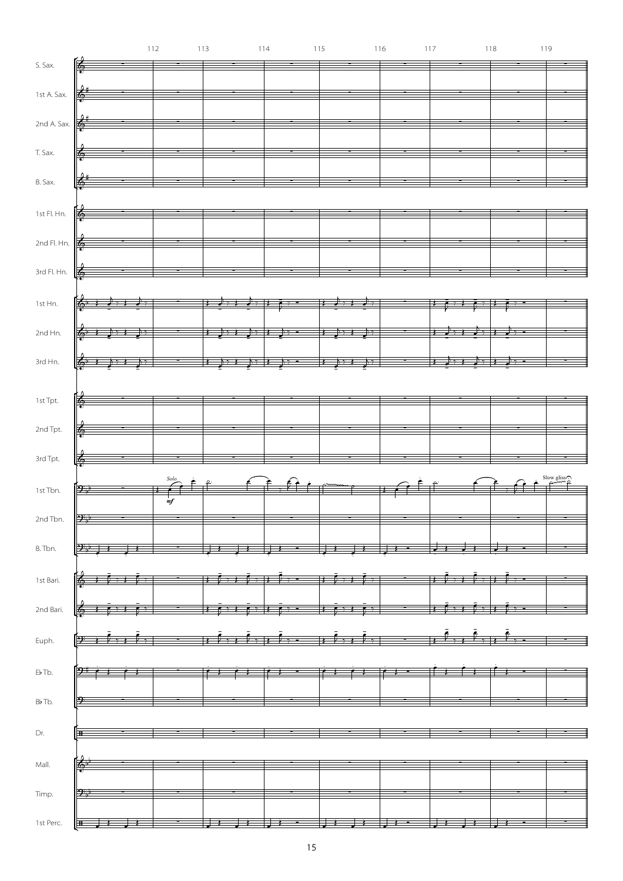|             |                                                                                                                                                                                                                                                                                                                                                                                             | 112 | 113                                                        |                                           | 114                                                                                                                                                                                                                                                                                                                 | 115  | 116 | 117                                                                                                                                                                                                                                                                                                                                                                                                                                                                             | 118 |                                                                                     | 119                                                                                                                                     |
|-------------|---------------------------------------------------------------------------------------------------------------------------------------------------------------------------------------------------------------------------------------------------------------------------------------------------------------------------------------------------------------------------------------------|-----|------------------------------------------------------------|-------------------------------------------|---------------------------------------------------------------------------------------------------------------------------------------------------------------------------------------------------------------------------------------------------------------------------------------------------------------------|------|-----|---------------------------------------------------------------------------------------------------------------------------------------------------------------------------------------------------------------------------------------------------------------------------------------------------------------------------------------------------------------------------------------------------------------------------------------------------------------------------------|-----|-------------------------------------------------------------------------------------|-----------------------------------------------------------------------------------------------------------------------------------------|
| S. Sax.     | 佑                                                                                                                                                                                                                                                                                                                                                                                           |     |                                                            |                                           |                                                                                                                                                                                                                                                                                                                     |      |     |                                                                                                                                                                                                                                                                                                                                                                                                                                                                                 |     |                                                                                     |                                                                                                                                         |
| 1st A. Sax. |                                                                                                                                                                                                                                                                                                                                                                                             |     | <u>e a serie de control de la c</u>                        |                                           |                                                                                                                                                                                                                                                                                                                     |      |     |                                                                                                                                                                                                                                                                                                                                                                                                                                                                                 |     |                                                                                     |                                                                                                                                         |
|             | 2nd A. Sax. $\begin{array}{ccc} \hline \downarrow & & \bullet & \bullet \end{array}$                                                                                                                                                                                                                                                                                                        |     |                                                            |                                           |                                                                                                                                                                                                                                                                                                                     |      |     |                                                                                                                                                                                                                                                                                                                                                                                                                                                                                 |     |                                                                                     |                                                                                                                                         |
| T. Sax.     |                                                                                                                                                                                                                                                                                                                                                                                             |     |                                                            |                                           |                                                                                                                                                                                                                                                                                                                     |      |     |                                                                                                                                                                                                                                                                                                                                                                                                                                                                                 |     |                                                                                     |                                                                                                                                         |
| B. Sax.     |                                                                                                                                                                                                                                                                                                                                                                                             |     |                                                            |                                           | and the state of the state of the state of the state of the state of the state of the state of the state of the                                                                                                                                                                                                     |      |     |                                                                                                                                                                                                                                                                                                                                                                                                                                                                                 |     |                                                                                     |                                                                                                                                         |
|             |                                                                                                                                                                                                                                                                                                                                                                                             |     |                                                            |                                           |                                                                                                                                                                                                                                                                                                                     |      |     |                                                                                                                                                                                                                                                                                                                                                                                                                                                                                 |     |                                                                                     |                                                                                                                                         |
| 1st Fl. Hn. | $\frac{1}{2}$                                                                                                                                                                                                                                                                                                                                                                               |     |                                                            |                                           |                                                                                                                                                                                                                                                                                                                     |      |     |                                                                                                                                                                                                                                                                                                                                                                                                                                                                                 |     |                                                                                     |                                                                                                                                         |
| 2nd Fl. Hn. |                                                                                                                                                                                                                                                                                                                                                                                             |     | $\sim$ $\sim$ $\sim$ $\sim$ $\sim$                         |                                           |                                                                                                                                                                                                                                                                                                                     |      |     |                                                                                                                                                                                                                                                                                                                                                                                                                                                                                 |     |                                                                                     |                                                                                                                                         |
|             | 3rd Fl. Hn. $\frac{2}{5}$                                                                                                                                                                                                                                                                                                                                                                   |     |                                                            |                                           |                                                                                                                                                                                                                                                                                                                     |      |     |                                                                                                                                                                                                                                                                                                                                                                                                                                                                                 |     |                                                                                     |                                                                                                                                         |
| 1st Hn.     | $\left[\frac{2}{5}+1-\frac{3}{5}+1-\frac{3}{5}+\frac{1}{5}+\frac{1}{5}+\frac{1}{5}+\frac{1}{5}+\frac{1}{5}+\frac{1}{5}+\frac{1}{5}+\frac{1}{5}+\frac{1}{5}+\frac{1}{5}+\frac{1}{5}+\frac{1}{5}+\frac{1}{5}+\frac{1}{5}+\frac{1}{5}+\frac{1}{5}+\frac{1}{5}+\frac{1}{5}+\frac{1}{5}+\frac{1}{5}+\frac{1}{5}+\frac{1}{5}+\frac{1}{5}+\frac{1}{5}+\frac{1}{5}+\frac{1}{5}+\frac{1}{5}+\frac{1$ |     |                                                            |                                           |                                                                                                                                                                                                                                                                                                                     |      |     |                                                                                                                                                                                                                                                                                                                                                                                                                                                                                 |     |                                                                                     |                                                                                                                                         |
|             |                                                                                                                                                                                                                                                                                                                                                                                             |     |                                                            |                                           |                                                                                                                                                                                                                                                                                                                     |      |     | $\overline{\phantom{a}}$ $\overline{\phantom{a}}$ $\overline{\phantom{a}}$ $\overline{\phantom{a}}$ $\overline{\phantom{a}}$ $\overline{\phantom{a}}$ $\overline{\phantom{a}}$ $\overline{\phantom{a}}$ $\overline{\phantom{a}}$ $\overline{\phantom{a}}$ $\overline{\phantom{a}}$ $\overline{\phantom{a}}$ $\overline{\phantom{a}}$ $\overline{\phantom{a}}$ $\overline{\phantom{a}}$ $\overline{\phantom{a}}$ $\overline{\phantom{a}}$ $\overline{\phantom{a}}$ $\overline{\$ |     |                                                                                     |                                                                                                                                         |
| 2nd Hn.     |                                                                                                                                                                                                                                                                                                                                                                                             |     |                                                            |                                           |                                                                                                                                                                                                                                                                                                                     |      |     |                                                                                                                                                                                                                                                                                                                                                                                                                                                                                 |     |                                                                                     |                                                                                                                                         |
| 3rd Hn.     | <del>حيا المبرادين ورادي والمحيادي وترين والمستورة ورادي والمستحير وتروم والم</del>                                                                                                                                                                                                                                                                                                         |     |                                                            |                                           |                                                                                                                                                                                                                                                                                                                     |      |     |                                                                                                                                                                                                                                                                                                                                                                                                                                                                                 |     |                                                                                     |                                                                                                                                         |
|             |                                                                                                                                                                                                                                                                                                                                                                                             |     |                                                            |                                           |                                                                                                                                                                                                                                                                                                                     |      |     |                                                                                                                                                                                                                                                                                                                                                                                                                                                                                 |     |                                                                                     |                                                                                                                                         |
| 1st Tpt.    |                                                                                                                                                                                                                                                                                                                                                                                             |     |                                                            |                                           |                                                                                                                                                                                                                                                                                                                     |      |     |                                                                                                                                                                                                                                                                                                                                                                                                                                                                                 |     |                                                                                     |                                                                                                                                         |
| 2nd Tpt.    |                                                                                                                                                                                                                                                                                                                                                                                             |     |                                                            |                                           |                                                                                                                                                                                                                                                                                                                     |      |     |                                                                                                                                                                                                                                                                                                                                                                                                                                                                                 |     |                                                                                     |                                                                                                                                         |
| 3rd Tpt.    | $\phi$                                                                                                                                                                                                                                                                                                                                                                                      |     |                                                            |                                           |                                                                                                                                                                                                                                                                                                                     |      |     |                                                                                                                                                                                                                                                                                                                                                                                                                                                                                 |     |                                                                                     |                                                                                                                                         |
| 1st Tbn.    |                                                                                                                                                                                                                                                                                                                                                                                             |     | $\frac{\text{Solo}}{\sqrt{1-\frac{1}{2}}\cdot\frac{1}{2}}$ |                                           |                                                                                                                                                                                                                                                                                                                     | $-1$ |     |                                                                                                                                                                                                                                                                                                                                                                                                                                                                                 |     |                                                                                     | $Slow \, \text{glass} \, \text{\ng \ng \ng \ng \nh \nh \ng \nh \nh \nh \nh \nh \nh \nh \nh \nh \nh \nh \nh \nh \nh \nh \nh \nh \nh \nh$ |
|             |                                                                                                                                                                                                                                                                                                                                                                                             |     |                                                            |                                           |                                                                                                                                                                                                                                                                                                                     |      |     |                                                                                                                                                                                                                                                                                                                                                                                                                                                                                 |     |                                                                                     |                                                                                                                                         |
| 2nd Tbn.    | $ 9\rangle$                                                                                                                                                                                                                                                                                                                                                                                 |     |                                                            |                                           |                                                                                                                                                                                                                                                                                                                     |      |     |                                                                                                                                                                                                                                                                                                                                                                                                                                                                                 |     |                                                                                     |                                                                                                                                         |
| B. Tbn.     | $2$ , $3$ $3$                                                                                                                                                                                                                                                                                                                                                                               |     |                                                            | $\Box$ $\rightarrow$ $\Box$ $\rightarrow$ | $\frac{1}{2}$ $\frac{1}{2}$ $\frac{1}{2}$ $\frac{1}{2}$ $\frac{1}{2}$ $\frac{1}{2}$ $\frac{1}{2}$ $\frac{1}{2}$ $\frac{1}{2}$ $\frac{1}{2}$ $\frac{1}{2}$ $\frac{1}{2}$ $\frac{1}{2}$ $\frac{1}{2}$ $\frac{1}{2}$ $\frac{1}{2}$ $\frac{1}{2}$ $\frac{1}{2}$ $\frac{1}{2}$ $\frac{1}{2}$ $\frac{1}{2}$ $\frac{1}{2}$ |      |     |                                                                                                                                                                                                                                                                                                                                                                                                                                                                                 |     | $\rightarrow$ $\rightarrow$ $\rightarrow$ $\rightarrow$ $\rightarrow$ $\rightarrow$ |                                                                                                                                         |
| 1st Bari.   | $\begin{bmatrix} \vec{c_0} & \vec{c} & \vec{c} & \vec{c} & \vec{c} & \vec{c} & \vec{c} & \vec{c} & \vec{c} & \vec{c} & \vec{c} & \vec{c} & \vec{c} & \vec{c} & \vec{c} & \vec{c} & \vec{c} & \vec{c} & \vec{c} & \vec{c} & \vec{c} & \vec{c} & \vec{c} & \vec{c} & \vec{c} & \vec{c} & \vec{c} & \vec{c} & \vec{c} & \vec{c} & \vec{c} & \vec{c} & \vec{c} & \vec{c} & \vec{c} & \vec$      |     |                                                            |                                           |                                                                                                                                                                                                                                                                                                                     |      |     |                                                                                                                                                                                                                                                                                                                                                                                                                                                                                 |     |                                                                                     |                                                                                                                                         |
| 2nd Bari.   |                                                                                                                                                                                                                                                                                                                                                                                             |     |                                                            |                                           |                                                                                                                                                                                                                                                                                                                     |      |     |                                                                                                                                                                                                                                                                                                                                                                                                                                                                                 |     |                                                                                     |                                                                                                                                         |
|             |                                                                                                                                                                                                                                                                                                                                                                                             |     |                                                            |                                           |                                                                                                                                                                                                                                                                                                                     |      |     |                                                                                                                                                                                                                                                                                                                                                                                                                                                                                 |     |                                                                                     |                                                                                                                                         |
| Euph.       | $[9: + \bar{1} \cdot 1 \cdot \bar{1} \cdot 1 \cdots 1; \bar{1} \cdot 1 \cdot \bar{1} \cdot 1 \cdot 1 \cdot 1 \cdots 1; \bar{1} \cdot 1 \cdot 1 \cdots 1; \bar{1} \cdot 1 \cdot 1 \cdot 1 \cdot 1]$                                                                                                                                                                                          |     |                                                            |                                           |                                                                                                                                                                                                                                                                                                                     |      |     |                                                                                                                                                                                                                                                                                                                                                                                                                                                                                 |     |                                                                                     |                                                                                                                                         |
| $Eb$ Tb.    |                                                                                                                                                                                                                                                                                                                                                                                             |     |                                                            |                                           |                                                                                                                                                                                                                                                                                                                     |      |     |                                                                                                                                                                                                                                                                                                                                                                                                                                                                                 |     |                                                                                     |                                                                                                                                         |
| Bb Tb.      | $\Theta^-$                                                                                                                                                                                                                                                                                                                                                                                  |     |                                                            |                                           |                                                                                                                                                                                                                                                                                                                     |      |     |                                                                                                                                                                                                                                                                                                                                                                                                                                                                                 |     |                                                                                     |                                                                                                                                         |
| Dr.         | $\mathbf{H}$                                                                                                                                                                                                                                                                                                                                                                                |     |                                                            |                                           |                                                                                                                                                                                                                                                                                                                     |      |     |                                                                                                                                                                                                                                                                                                                                                                                                                                                                                 |     |                                                                                     |                                                                                                                                         |
|             |                                                                                                                                                                                                                                                                                                                                                                                             |     |                                                            |                                           |                                                                                                                                                                                                                                                                                                                     |      |     |                                                                                                                                                                                                                                                                                                                                                                                                                                                                                 |     |                                                                                     |                                                                                                                                         |
| Mall.       | 傪                                                                                                                                                                                                                                                                                                                                                                                           |     |                                                            |                                           |                                                                                                                                                                                                                                                                                                                     |      |     |                                                                                                                                                                                                                                                                                                                                                                                                                                                                                 |     |                                                                                     |                                                                                                                                         |
| Timp.       |                                                                                                                                                                                                                                                                                                                                                                                             |     | <u> Alban Maria</u>                                        | <b>.</b>                                  |                                                                                                                                                                                                                                                                                                                     |      |     |                                                                                                                                                                                                                                                                                                                                                                                                                                                                                 |     |                                                                                     |                                                                                                                                         |
| 1st Perc.   |                                                                                                                                                                                                                                                                                                                                                                                             |     |                                                            |                                           |                                                                                                                                                                                                                                                                                                                     |      |     |                                                                                                                                                                                                                                                                                                                                                                                                                                                                                 |     |                                                                                     | $\pm$ $\pm$                                                                                                                             |
|             |                                                                                                                                                                                                                                                                                                                                                                                             |     |                                                            |                                           |                                                                                                                                                                                                                                                                                                                     |      |     |                                                                                                                                                                                                                                                                                                                                                                                                                                                                                 |     |                                                                                     |                                                                                                                                         |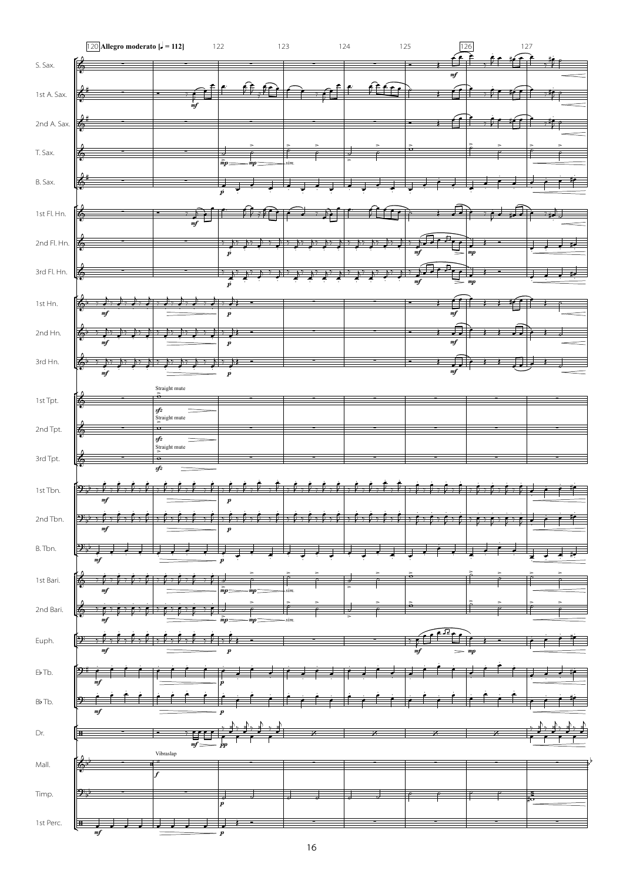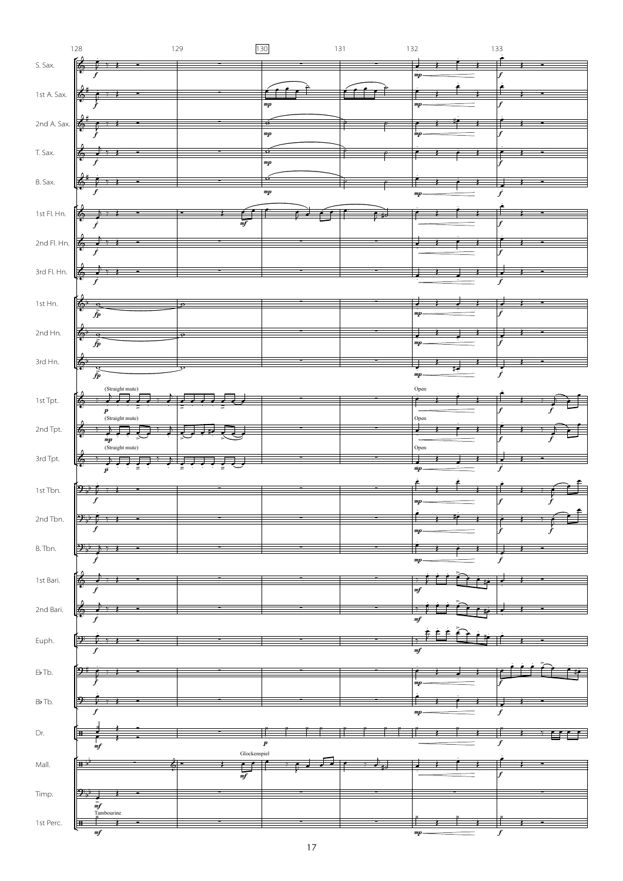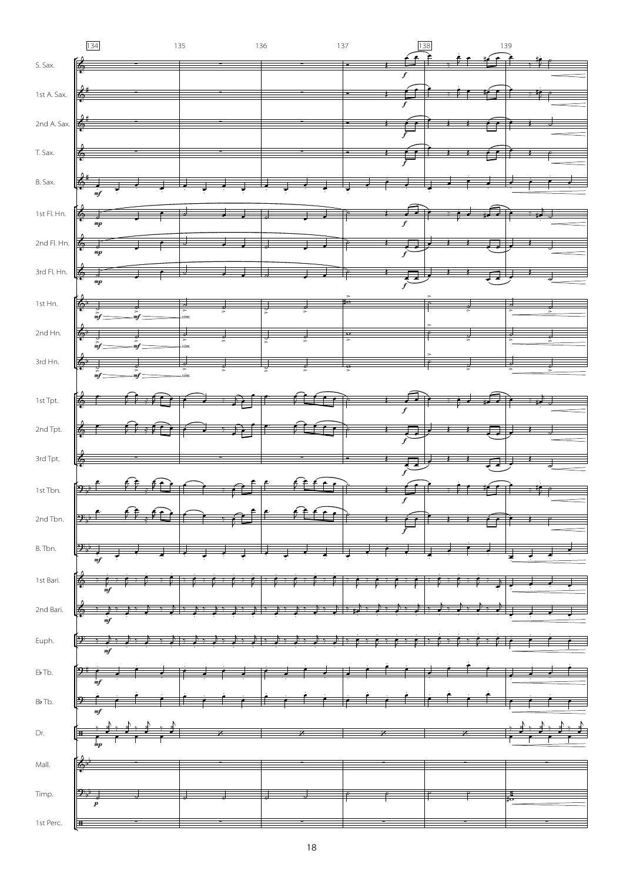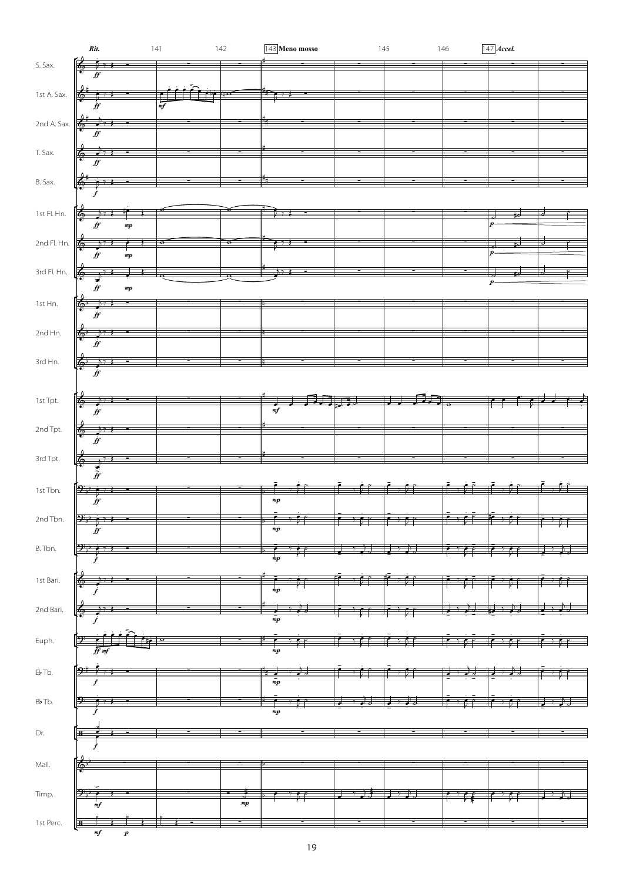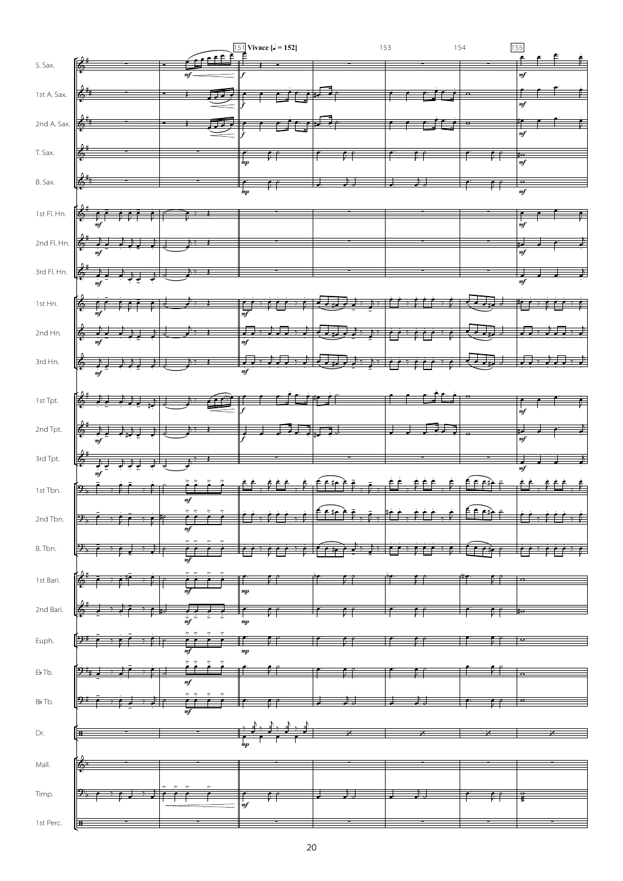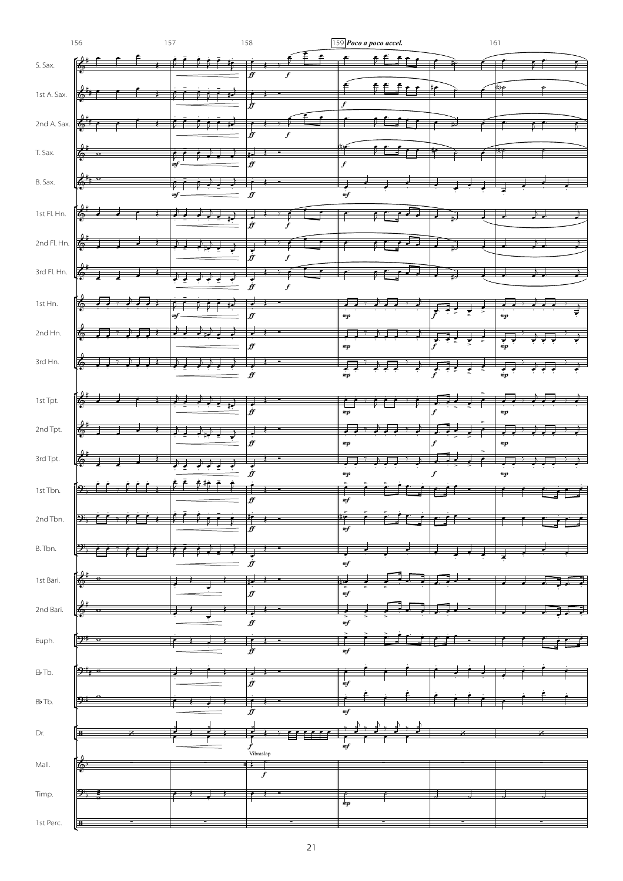|             | 156                                               | 157           | 158                                                      | 159 Poco a poco accel.                                                                          |   | 161                      |
|-------------|---------------------------------------------------|---------------|----------------------------------------------------------|-------------------------------------------------------------------------------------------------|---|--------------------------|
|             |                                                   |               |                                                          |                                                                                                 |   |                          |
| S. Sax.     |                                                   |               | $\boldsymbol{f}$<br>ff                                   |                                                                                                 |   |                          |
|             |                                                   |               |                                                          | ₽<br>€                                                                                          |   | $\mathfrak{b}$ e         |
| 1st A. Sax. | る                                                 |               | ff                                                       | $\boldsymbol{f}$                                                                                |   |                          |
|             |                                                   |               |                                                          |                                                                                                 |   |                          |
| 2nd A. Sax. | $\frac{2}{9}$                                     |               | $\mathcal{f}$<br>$\boldsymbol{\mathit{f}}$               |                                                                                                 |   |                          |
|             |                                                   |               |                                                          |                                                                                                 |   |                          |
| T. Sax.     | $\frac{1}{2}$<br>$\mathbf{\Omega}$                | $\frac{1}{m}$ |                                                          | $\triangleq$                                                                                    |   | $\mathbb{H}$             |
|             |                                                   |               | ff                                                       | $\boldsymbol{f}$                                                                                |   |                          |
| B. Sax.     | $\frac{2}{5}$                                     |               |                                                          |                                                                                                 |   |                          |
|             |                                                   | mf            | ∯                                                        | m f                                                                                             |   |                          |
| 1st Fl. Hn. | 6                                                 |               |                                                          |                                                                                                 |   |                          |
|             |                                                   |               | Ĥ                                                        |                                                                                                 |   |                          |
| 2nd Fl. Hn. | $\overline{6}$                                    |               |                                                          |                                                                                                 |   |                          |
|             |                                                   |               | Ĥ                                                        |                                                                                                 |   |                          |
| 3rd Fl. Hn. | \$                                                |               |                                                          |                                                                                                 |   |                          |
|             |                                                   |               |                                                          |                                                                                                 |   |                          |
| 1st Hn.     | $\blacklozenge$                                   |               |                                                          |                                                                                                 |   |                          |
|             |                                                   | m f           | ff                                                       | $\boldsymbol{m}$                                                                                |   | $\boldsymbol{m}$         |
| 2nd Hn.     | $\overline{\mathbb{P}}$                           | ≠<br>च रत     | ┙                                                        |                                                                                                 |   |                          |
|             |                                                   |               | ff                                                       | $\boldsymbol{m}$                                                                                |   | $\overrightarrow{r}$     |
| 3rd Hn.     |                                                   |               |                                                          |                                                                                                 |   |                          |
|             | $\spadesuit$                                      |               | f f                                                      | $\frac{1}{\frac{1}{mp}}$                                                                        | ◢ | ₹<br>$\frac{1}{mp}$<br>र |
|             |                                                   |               |                                                          |                                                                                                 |   |                          |
| 1st Tpt.    | 膚                                                 |               |                                                          |                                                                                                 |   | 叧<br>⊋<br>₽<br>$\cdot$   |
|             |                                                   |               | Ĥ                                                        | mp                                                                                              |   | $\it mp$                 |
| 2nd Tpt.    | $\phi$                                            |               |                                                          | <del>J</del>                                                                                    | ▰ | $\rightarrow$            |
|             |                                                   |               |                                                          | $\sqrt{m}p$                                                                                     |   | тp                       |
| 3rd Tpt.    | 尊                                                 |               |                                                          |                                                                                                 |   | $\rightarrow$            |
|             |                                                   |               |                                                          | $_{mp}$                                                                                         |   | $_{mp}$                  |
| 1st Tbn.    | $\mathfrak{D}_{\flat}$<br>$\overline{\mathbf{r}}$ | 餅子            |                                                          | ₹                                                                                               |   |                          |
|             |                                                   |               | f f                                                      | m f                                                                                             |   |                          |
| 2nd Tbn.    | $\mathbf{\mathcal{D}_{\overline{5}}}$<br>₹        |               |                                                          |                                                                                                 |   |                          |
|             |                                                   |               |                                                          | $\frac{1}{\eta f}$                                                                              |   | ≤                        |
| B. Tbn.     | ッ                                                 |               |                                                          |                                                                                                 |   |                          |
|             |                                                   |               | Ĥ                                                        |                                                                                                 |   |                          |
|             |                                                   |               |                                                          | $\it mf$                                                                                        |   |                          |
| 1st Bari.   | 香                                                 |               | Ţ.                                                       | $\begin{array}{c}\n\hline\n\downarrow \\ \hline\n\downarrow \\ \hline\n\downarrow\n\end{array}$ |   | ⋾                        |
|             |                                                   |               | ff                                                       |                                                                                                 |   |                          |
| 2nd Bari.   | $\frac{1}{9}$                                     |               |                                                          | $\frac{1}{\frac{2}{m f}}$                                                                       |   | ₹                        |
|             |                                                   |               | $\dot{f}$                                                |                                                                                                 |   |                          |
| Euph.       | 91 o                                              |               | $\begin{array}{c} \mathbf{f} \ \mathbf{f} \end{array}$   | 牵                                                                                               |   | $\blacksquare$           |
|             |                                                   |               |                                                          | $\it mf$                                                                                        |   |                          |
| Eb Tb.      | $9^{\circ}$ $^{\circ}$                            |               | ₹                                                        | $\overline{\mathcal{F}}_{_{\mathit{mf}}}$                                                       |   |                          |
|             |                                                   |               | $\dot{f}$                                                |                                                                                                 |   |                          |
| Bb Tb.      | 91                                                |               |                                                          |                                                                                                 |   |                          |
|             |                                                   |               | ff                                                       | $\sqrt{m}f$                                                                                     |   |                          |
| Dr.         | 표                                                 |               |                                                          |                                                                                                 |   |                          |
|             |                                                   |               |                                                          | $\frac{1}{\frac{1}{m_f}}$                                                                       |   |                          |
|             |                                                   |               | Vibraslap                                                |                                                                                                 |   |                          |
| Mall.       | $\phi$                                            |               | $\blacksquare$ $\uparrow$ $\uparrow$<br>$\boldsymbol{f}$ |                                                                                                 |   |                          |
|             |                                                   |               |                                                          |                                                                                                 |   |                          |
| Timp.       | 2,                                                |               |                                                          | $\frac{\epsilon}{mp}$                                                                           |   |                          |
|             |                                                   |               |                                                          |                                                                                                 |   |                          |
| 1st Perc.   | 田                                                 |               |                                                          |                                                                                                 |   |                          |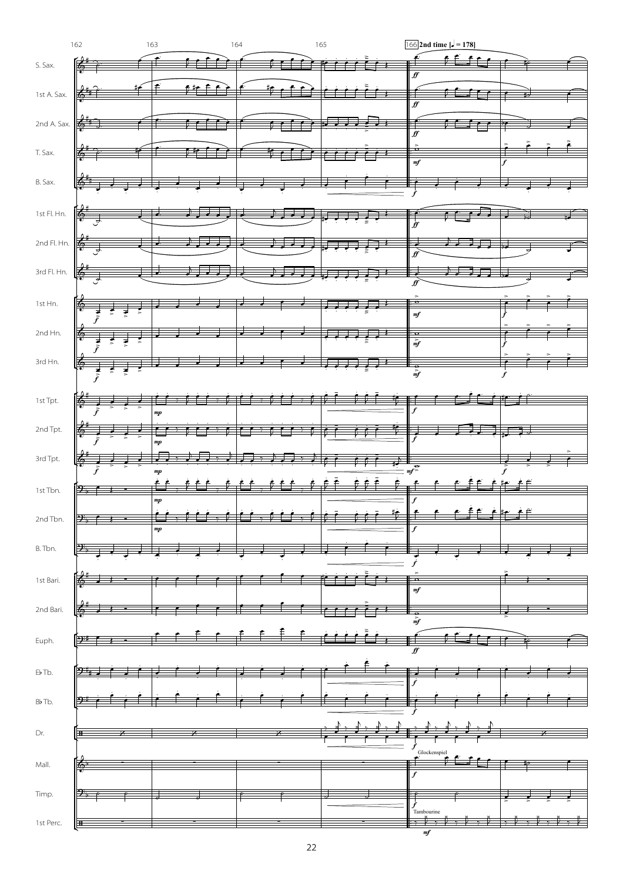|                | 162                       | 163         |   | 164 | 165                                               | $166$ 2nd time $\sqrt{2}$ = 178]  |    |          |
|----------------|---------------------------|-------------|---|-----|---------------------------------------------------|-----------------------------------|----|----------|
|                |                           |             |   |     |                                                   |                                   |    |          |
| S. Sax.        |                           |             |   |     |                                                   | ∯                                 |    |          |
|                |                           | ₽           |   |     |                                                   |                                   |    |          |
| 1st A. Sax.    | $\mathbf{6}^{\ast}$       |             |   |     |                                                   |                                   |    |          |
|                |                           |             |   |     |                                                   | ff                                |    |          |
| 2nd A. Sax.    | $\blacklozenge$           |             |   |     |                                                   |                                   |    |          |
|                |                           |             |   |     |                                                   | ff                                |    |          |
|                |                           |             |   |     |                                                   |                                   |    |          |
| T. Sax.        | $\spadesuit$              |             |   |     |                                                   |                                   |    |          |
|                |                           |             |   |     |                                                   | $m\!f$                            |    |          |
| B. Sax.        | $\frac{1}{9}$             |             |   |     |                                                   |                                   |    |          |
|                |                           |             |   |     |                                                   |                                   |    |          |
|                |                           |             |   |     |                                                   |                                   |    |          |
| $1$ st Fl. Hn. | $\frac{1}{9}$             |             |   |     |                                                   |                                   |    |          |
|                |                           |             |   |     |                                                   |                                   |    |          |
| $2$ nd Fl. Hn. | €                         |             |   |     |                                                   | ◢                                 |    |          |
|                |                           |             |   |     |                                                   | ff                                |    |          |
| 3rd Fl. Hn.    |                           |             |   |     |                                                   |                                   |    |          |
|                | 食                         |             |   |     |                                                   | ff                                |    |          |
|                |                           |             |   |     |                                                   |                                   |    |          |
| 1st Hn.        | $\overline{\bullet}$      |             |   |     |                                                   | $\overline{\circ}$                |    |          |
|                |                           |             |   |     |                                                   | $\it mf$                          |    |          |
| 2nd Hn.        | ∲                         |             |   |     |                                                   | $\circ$                           |    |          |
|                |                           |             |   |     |                                                   | $\frac{1}{m}$                     |    |          |
|                |                           |             |   |     |                                                   |                                   |    |          |
| 3rd Hn.        | ó<br>$\mathbf{r}$<br>र्   |             |   |     |                                                   | $\stackrel{\text{>}}{\text{inf}}$ |    |          |
|                | $\overrightarrow{f}$      |             |   |     |                                                   |                                   |    |          |
|                |                           |             |   |     |                                                   |                                   |    |          |
| 1st Tpt.       | 蓐                         |             |   |     |                                                   |                                   |    |          |
|                |                           | тp          |   |     |                                                   |                                   |    |          |
| 2nd Tpt.       | $\epsilon$                |             |   |     |                                                   |                                   |    |          |
|                |                           | mp          |   |     |                                                   |                                   |    |          |
| 3rd Tpt.       |                           |             |   |     |                                                   |                                   |    |          |
|                | €                         | mр          |   |     | ţ,                                                | $\frac{1}{m}f$                    |    |          |
|                |                           |             |   |     | €₽                                                |                                   |    |          |
| 1st Tbn.       | 9                         |             |   |     |                                                   |                                   |    |          |
|                |                           | $\it mp$    |   |     |                                                   | $\boldsymbol{f}$                  |    |          |
| 2nd Tbn.       | $\mathbf{P}_{\mathbf{p}}$ |             |   |     |                                                   |                                   | ≐≗ |          |
|                |                           | $_{\it mp}$ |   |     |                                                   | f                                 |    |          |
|                | 9,                        |             |   |     |                                                   |                                   |    |          |
| B. Tbn.        |                           |             |   |     |                                                   |                                   |    |          |
|                |                           |             |   |     | ≥                                                 |                                   |    |          |
| 1st Bari.      | €                         |             |   |     | ₹<br>$\overline{\phantom{a}}$<br>⊯<br>۰<br>۰<br>≏ | $\bullet$                         |    |          |
|                |                           |             |   |     |                                                   | $\it mf$                          |    |          |
| 2nd Bari.      | €                         |             |   |     |                                                   |                                   |    |          |
|                |                           |             |   |     |                                                   | $\frac{1}{\frac{2}{m}}$           |    |          |
|                |                           |             |   |     |                                                   |                                   |    |          |
| Euph.          | 91                        |             |   |     |                                                   |                                   |    | $\equiv$ |
|                |                           |             |   |     |                                                   | $\overline{\mathbf{\mathit{f}f}}$ |    |          |
| $Eb$ Tb.       | $9 -$                     |             |   |     |                                                   | ₹                                 |    |          |
|                |                           |             |   |     |                                                   | $\bar{f}$                         |    |          |
|                |                           |             |   |     |                                                   |                                   |    |          |
| Bb Tb.         | 91                        |             |   |     |                                                   |                                   |    |          |
|                |                           |             |   |     |                                                   |                                   |    |          |
| Dr.            | Œ<br>Z                    |             | z | z   |                                                   |                                   |    |          |
|                |                           |             |   |     |                                                   | $\boldsymbol{f}$                  |    |          |
|                |                           |             |   |     |                                                   | Glockenspiel                      |    |          |
| Mall.          | ∲∍                        |             |   |     |                                                   |                                   |    |          |
|                |                           |             |   |     |                                                   | $\boldsymbol{f}$                  |    |          |
| Timp.          | 9,                        |             |   |     |                                                   |                                   |    | ₹        |
|                |                           |             |   |     |                                                   | $\boldsymbol{f}$                  |    |          |
| 1st Perc.      |                           |             |   |     |                                                   | Tambourine                        |    |          |
|                | 圧                         |             |   |     |                                                   | $\overline{\mathit{mf}}$          |    |          |
|                |                           |             |   |     |                                                   |                                   |    |          |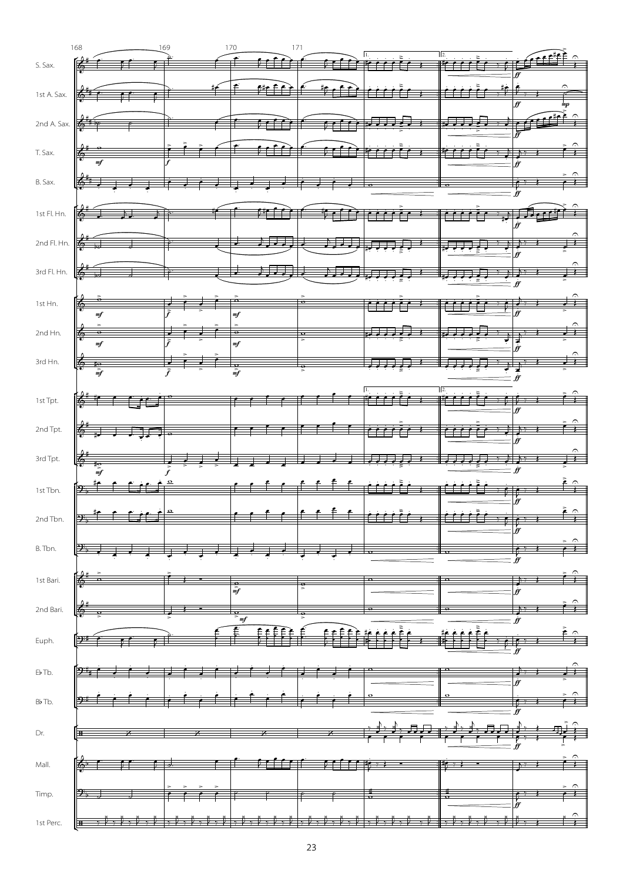|             | 168                                                               | 169                  | 170<br>171                    |                                     |                                                                       |               |                                                                                                                                                                                                                                                                                                                                                     |
|-------------|-------------------------------------------------------------------|----------------------|-------------------------------|-------------------------------------|-----------------------------------------------------------------------|---------------|-----------------------------------------------------------------------------------------------------------------------------------------------------------------------------------------------------------------------------------------------------------------------------------------------------------------------------------------------------|
| S. Sax.     |                                                                   |                      |                               |                                     |                                                                       |               |                                                                                                                                                                                                                                                                                                                                                     |
|             |                                                                   |                      |                               |                                     |                                                                       |               |                                                                                                                                                                                                                                                                                                                                                     |
|             |                                                                   |                      |                               | 梅                                   |                                                                       |               |                                                                                                                                                                                                                                                                                                                                                     |
| 1st A. Sax. |                                                                   |                      |                               |                                     |                                                                       |               | mр                                                                                                                                                                                                                                                                                                                                                  |
|             |                                                                   |                      |                               |                                     |                                                                       |               |                                                                                                                                                                                                                                                                                                                                                     |
| 2nd A. Sax. | $\bullet$                                                         |                      |                               |                                     | $\overline{a}$                                                        |               |                                                                                                                                                                                                                                                                                                                                                     |
|             |                                                                   |                      |                               |                                     |                                                                       |               |                                                                                                                                                                                                                                                                                                                                                     |
| T. Sax.     | $\phi^*$                                                          |                      |                               |                                     | $\frac{1}{2}$ $\frac{1}{2}$ $\frac{1}{2}$ $\frac{1}{2}$ $\frac{1}{2}$ |               |                                                                                                                                                                                                                                                                                                                                                     |
|             | m f                                                               |                      |                               |                                     |                                                                       |               |                                                                                                                                                                                                                                                                                                                                                     |
| B. Sax.     | 传                                                                 |                      |                               |                                     |                                                                       |               |                                                                                                                                                                                                                                                                                                                                                     |
|             |                                                                   |                      |                               |                                     |                                                                       |               | ff                                                                                                                                                                                                                                                                                                                                                  |
|             |                                                                   |                      |                               |                                     |                                                                       |               |                                                                                                                                                                                                                                                                                                                                                     |
| 1st Fl. Hn. | 6                                                                 |                      |                               |                                     |                                                                       |               |                                                                                                                                                                                                                                                                                                                                                     |
|             |                                                                   |                      |                               |                                     |                                                                       |               |                                                                                                                                                                                                                                                                                                                                                     |
| 2nd Fl. Hn. |                                                                   |                      | ⇁                             | ≠                                   |                                                                       |               |                                                                                                                                                                                                                                                                                                                                                     |
|             |                                                                   |                      |                               |                                     |                                                                       |               |                                                                                                                                                                                                                                                                                                                                                     |
| 3rd Fl. Hn. | 優                                                                 |                      |                               |                                     |                                                                       |               |                                                                                                                                                                                                                                                                                                                                                     |
|             |                                                                   |                      |                               |                                     |                                                                       |               |                                                                                                                                                                                                                                                                                                                                                     |
|             |                                                                   |                      | $\bullet$                     | $\overline{\mathbf{o}}$             |                                                                       |               |                                                                                                                                                                                                                                                                                                                                                     |
| 1st Hn.     | $\overline{\mathbb{P}}$<br>m f                                    |                      | m f                           |                                     |                                                                       |               |                                                                                                                                                                                                                                                                                                                                                     |
|             |                                                                   |                      |                               |                                     |                                                                       |               |                                                                                                                                                                                                                                                                                                                                                     |
| 2nd Hn.     | $\overline{\mathbb{P}}$<br>$\overline{\bullet}$                   |                      | $\overline{\bullet}$          | $\bullet$                           |                                                                       |               | t                                                                                                                                                                                                                                                                                                                                                   |
|             | m f                                                               |                      | $\it mf$                      |                                     |                                                                       |               |                                                                                                                                                                                                                                                                                                                                                     |
| 3rd Hn.     | ó<br>$\frac{\frac{1}{\frac{1}{\sqrt{10}}}}{\frac{1}{\sqrt{10}}}}$ |                      | $\frac{1}{m}$                 |                                     |                                                                       |               |                                                                                                                                                                                                                                                                                                                                                     |
|             |                                                                   | $\frac{1}{\epsilon}$ |                               |                                     |                                                                       |               |                                                                                                                                                                                                                                                                                                                                                     |
|             |                                                                   |                      |                               |                                     | $ 1$ .                                                                | 112.          |                                                                                                                                                                                                                                                                                                                                                     |
| 1st Tpt.    | $\overline{\bullet}$                                              |                      |                               |                                     |                                                                       |               |                                                                                                                                                                                                                                                                                                                                                     |
|             |                                                                   |                      |                               |                                     |                                                                       |               | ff                                                                                                                                                                                                                                                                                                                                                  |
| 2nd Tpt.    | €                                                                 |                      |                               |                                     | <u>.</u>                                                              |               |                                                                                                                                                                                                                                                                                                                                                     |
|             |                                                                   |                      |                               |                                     |                                                                       |               |                                                                                                                                                                                                                                                                                                                                                     |
| 3rd Tpt.    | 俸                                                                 |                      |                               |                                     |                                                                       |               |                                                                                                                                                                                                                                                                                                                                                     |
|             | $\frac{1}{\sqrt{2}}$                                              |                      |                               |                                     |                                                                       |               | İf                                                                                                                                                                                                                                                                                                                                                  |
|             | Э.                                                                |                      |                               |                                     |                                                                       |               | $\hat{\mathbb{C}}$                                                                                                                                                                                                                                                                                                                                  |
| 1st Tbn.    |                                                                   |                      |                               |                                     |                                                                       |               | 'n                                                                                                                                                                                                                                                                                                                                                  |
|             |                                                                   |                      |                               |                                     |                                                                       |               |                                                                                                                                                                                                                                                                                                                                                     |
| 2nd Tbn.    | D                                                                 |                      |                               |                                     |                                                                       |               | ff                                                                                                                                                                                                                                                                                                                                                  |
|             |                                                                   |                      |                               |                                     |                                                                       |               |                                                                                                                                                                                                                                                                                                                                                     |
| B. Tbn.     | $\mathfrak{D}_{\mathbb{R}}$                                       |                      |                               |                                     |                                                                       |               | $\widehat{\mathbb{R}}$                                                                                                                                                                                                                                                                                                                              |
|             |                                                                   |                      |                               |                                     |                                                                       |               | ∱                                                                                                                                                                                                                                                                                                                                                   |
| 1st Bari.   | 6                                                                 |                      |                               |                                     |                                                                       |               | $\sum_{i=1}^{\infty}$                                                                                                                                                                                                                                                                                                                               |
|             |                                                                   |                      | $\frac{1}{m}$                 | $\mathbf{S}$                        |                                                                       |               | Ĥ                                                                                                                                                                                                                                                                                                                                                   |
| 2nd Bari.   | €                                                                 |                      |                               |                                     |                                                                       |               | $\hat{\mathbb{P}}$                                                                                                                                                                                                                                                                                                                                  |
|             |                                                                   |                      | $\overline{\mathcal{F}_{mf}}$ |                                     |                                                                       |               | İf                                                                                                                                                                                                                                                                                                                                                  |
|             |                                                                   |                      | €<br>ĦĦ                       |                                     |                                                                       |               | $\begin{picture}(220,20) \put(0,0){\line(1,0){10}} \put(15,0){\line(1,0){10}} \put(15,0){\line(1,0){10}} \put(15,0){\line(1,0){10}} \put(15,0){\line(1,0){10}} \put(15,0){\line(1,0){10}} \put(15,0){\line(1,0){10}} \put(15,0){\line(1,0){10}} \put(15,0){\line(1,0){10}} \put(15,0){\line(1,0){10}} \put(15,0){\line(1,0){10}} \put(15,0){\line($ |
| Euph.       |                                                                   |                      |                               |                                     |                                                                       |               |                                                                                                                                                                                                                                                                                                                                                     |
|             |                                                                   |                      |                               |                                     |                                                                       |               |                                                                                                                                                                                                                                                                                                                                                     |
| Eb Tb.      | $9+$                                                              |                      |                               |                                     |                                                                       |               | $\hat{\cdot}$<br>♪<br>₹                                                                                                                                                                                                                                                                                                                             |
|             |                                                                   |                      |                               |                                     |                                                                       |               | Ĥ                                                                                                                                                                                                                                                                                                                                                   |
| Bb Tb.      | 91                                                                |                      |                               |                                     |                                                                       |               | G<br>$\overline{\cdot}$                                                                                                                                                                                                                                                                                                                             |
|             |                                                                   |                      |                               |                                     |                                                                       |               |                                                                                                                                                                                                                                                                                                                                                     |
|             |                                                                   |                      |                               |                                     |                                                                       |               | €                                                                                                                                                                                                                                                                                                                                                   |
| Dr.         | H                                                                 |                      |                               |                                     |                                                                       |               |                                                                                                                                                                                                                                                                                                                                                     |
|             |                                                                   |                      |                               |                                     |                                                                       |               | ⌒                                                                                                                                                                                                                                                                                                                                                   |
| Mall.       | $\phi$                                                            |                      |                               |                                     | ₩                                                                     |               | $\leftarrow$                                                                                                                                                                                                                                                                                                                                        |
|             |                                                                   |                      |                               |                                     |                                                                       |               |                                                                                                                                                                                                                                                                                                                                                     |
| Timp.       | 9,                                                                |                      |                               |                                     |                                                                       | ž             | $\hat{\hat{}}$                                                                                                                                                                                                                                                                                                                                      |
|             |                                                                   |                      |                               |                                     |                                                                       |               | $\frac{\epsilon}{f}$                                                                                                                                                                                                                                                                                                                                |
| 1st Perc.   | 표                                                                 |                      | 1 7 7 7 7 7                   | , P   , P , P , P , P   , P , P , P |                                                                       | $\rightarrow$ | $\hat{r}$                                                                                                                                                                                                                                                                                                                                           |
|             |                                                                   |                      |                               |                                     |                                                                       |               |                                                                                                                                                                                                                                                                                                                                                     |